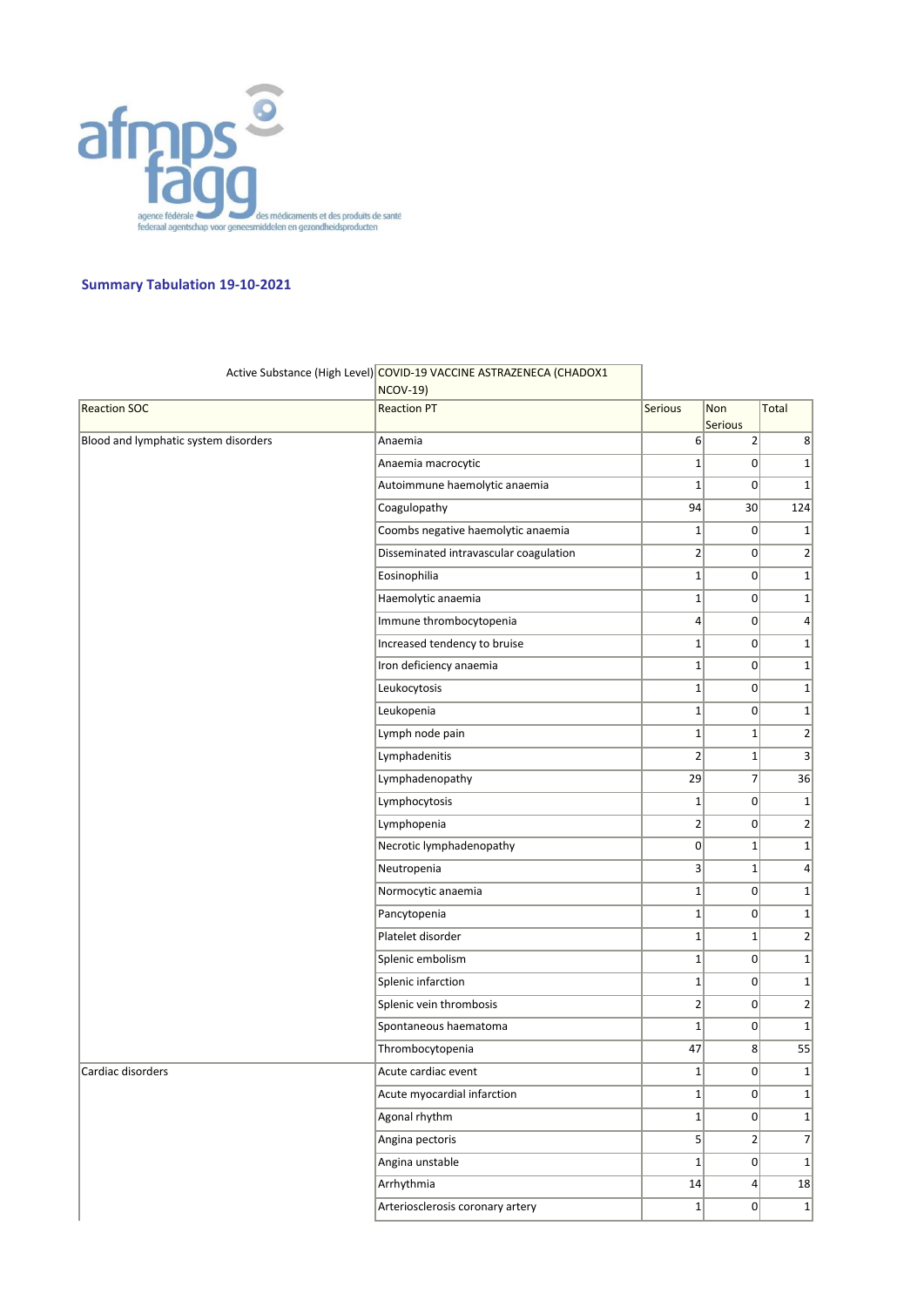

## **Summary Tabulation 19-10-2021**

|                                      | <b>NCOV-19)</b>                        |                         |                       |                |
|--------------------------------------|----------------------------------------|-------------------------|-----------------------|----------------|
| <b>Reaction SOC</b>                  | <b>Reaction PT</b>                     | <b>Serious</b>          | Non<br><b>Serious</b> | Total          |
| Blood and lymphatic system disorders | Anaemia                                | $6\vert$                | $\overline{2}$        | 8              |
|                                      | Anaemia macrocytic                     | $\mathbf 1$             | 0                     | $1\vert$       |
|                                      | Autoimmune haemolytic anaemia          | $\mathbf 1$             | $\overline{0}$        | $1\vert$       |
|                                      | Coagulopathy                           | 94                      | 30                    | 124            |
|                                      | Coombs negative haemolytic anaemia     | $\mathbf{1}$            | 0                     | $1\vert$       |
|                                      | Disseminated intravascular coagulation | $\overline{\mathbf{c}}$ | 0                     | 2              |
|                                      | Eosinophilia                           | $\mathbf 1$             | 0                     | $1\vert$       |
|                                      | Haemolytic anaemia                     | $1\vert$                | 0                     | $1\vert$       |
|                                      | Immune thrombocytopenia                | 4                       | 0                     | $\vert$        |
|                                      | Increased tendency to bruise           | $\mathbf 1$             | 0                     | $1\vert$       |
|                                      | Iron deficiency anaemia                | $\mathbf{1}$            | 0                     | 1              |
|                                      | Leukocytosis                           | $\mathbf 1$             | 0                     | $1\vert$       |
|                                      | Leukopenia                             | $\mathbf{1}$            | 0                     | $1\vert$       |
|                                      | Lymph node pain                        | $\mathbf 1$             | $1\vert$              | 2              |
|                                      | Lymphadenitis                          | $\overline{2}$          | $1\vert$              | $\vert$        |
|                                      | Lymphadenopathy                        | 29                      | $\overline{7}$        | 36             |
|                                      | Lymphocytosis                          | $\mathbf{1}$            | 0                     | $1\vert$       |
|                                      | Lymphopenia                            | $\overline{2}$          | 0                     | 2              |
|                                      | Necrotic lymphadenopathy               | 0                       | $\mathbf{1}$          | $1\vert$       |
|                                      | Neutropenia                            | $\vert 3 \vert$         | $1\vert$              | 4 <sup>1</sup> |
|                                      | Normocytic anaemia                     | $\mathbf 1$             | 0                     | $1\vert$       |
|                                      | Pancytopenia                           | $\mathbf{1}$            | 0                     | $1\vert$       |
|                                      | Platelet disorder                      | $\mathbf 1$             | $1\vert$              | 2              |
|                                      | Splenic embolism                       | $\mathbf{1}$            | 0                     | $1\vert$       |
|                                      | Splenic infarction                     | $\mathbf 1$             | 0                     | 1              |
|                                      | Splenic vein thrombosis                | $\overline{\mathbf{c}}$ | 0                     | $2\vert$       |
|                                      | Spontaneous haematoma                  | $\mathbf{1}$            | 0                     | $1\vert$       |
|                                      | Thrombocytopenia                       | 47                      | 8 <sup>2</sup>        | 55             |
| Cardiac disorders                    | Acute cardiac event                    | $\mathbf 1$             | $\Omega$              | $1\vert$       |
|                                      | Acute myocardial infarction            | $\mathbf{1}$            | 0                     | 1              |
|                                      | Agonal rhythm                          | $\mathbf{1}$            | 0                     | $1\vert$       |
|                                      | Angina pectoris                        | $\mathsf{S}$            | $2\vert$              | $\overline{7}$ |
|                                      | Angina unstable                        | $\mathbf{1}$            | 0                     | $1\vert$       |
|                                      | Arrhythmia                             | 14                      | 4                     | 18             |
|                                      | Arteriosclerosis coronary artery       | $\mathbf{1}$            | 0                     | $1\vert$       |

## Active Substance (High Level) COVID-19 VACCINE ASTRAZENECA (CHADOX1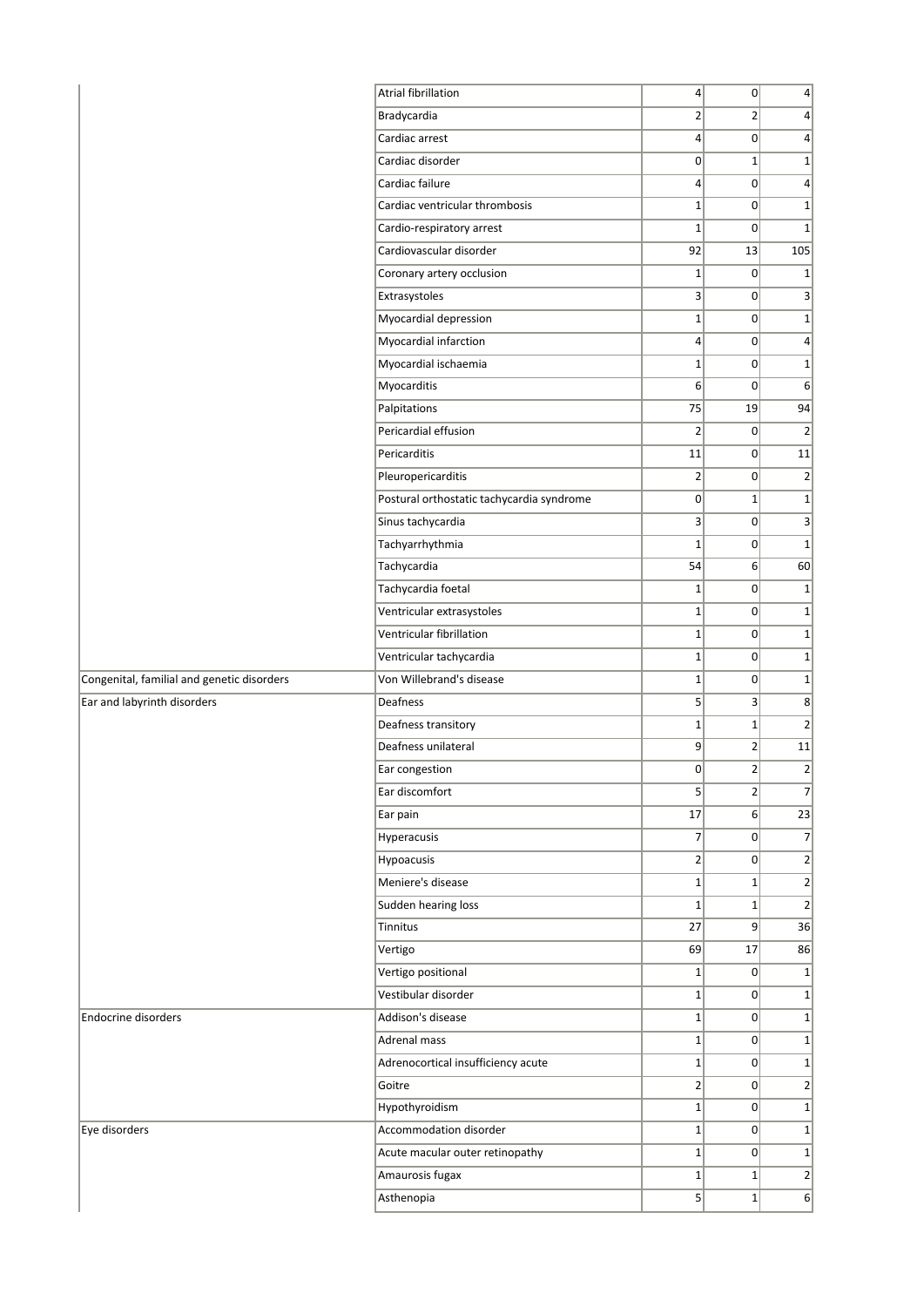|                                            | Atrial fibrillation                       | $\left 4\right $ | 0              | $\vert 4 \vert$ |
|--------------------------------------------|-------------------------------------------|------------------|----------------|-----------------|
|                                            | Bradycardia                               | $\overline{2}$   | $\overline{2}$ | $\vert$         |
|                                            | Cardiac arrest                            | $\vert 4 \vert$  | 0              | $\overline{4}$  |
|                                            | Cardiac disorder                          | $\overline{0}$   | $1\vert$       | $\mathbf 1$     |
|                                            | Cardiac failure                           | $\vert 4 \vert$  | $\Omega$       | 4               |
|                                            | Cardiac ventricular thrombosis            | $1\vert$         | $\overline{0}$ | $\mathbf 1$     |
|                                            | Cardio-respiratory arrest                 | $\mathbf{1}$     | $\overline{0}$ | $\mathbf 1$     |
|                                            | Cardiovascular disorder                   | 92               | 13             | 105             |
|                                            | Coronary artery occlusion                 | $\mathbf{1}$     | 0              | $1\,$           |
|                                            | Extrasystoles                             | $\vert 3 \vert$  | 0              | 3               |
|                                            | Myocardial depression                     | $1\vert$         | $\overline{0}$ | $\mathbf 1$     |
|                                            | Myocardial infarction                     | $\vert 4 \vert$  | 0              | $\overline{4}$  |
|                                            | Myocardial ischaemia                      | $1\vert$         | $\overline{0}$ | $\mathbf 1$     |
|                                            | Myocarditis                               | 6                | $\overline{0}$ | 6               |
|                                            | Palpitations                              | 75               | 19             | 94              |
|                                            | Pericardial effusion                      | $\overline{2}$   | 0              | $\overline{2}$  |
|                                            | Pericarditis                              | 11               | $\overline{0}$ | 11              |
|                                            | Pleuropericarditis                        | $\overline{2}$   | $\overline{0}$ | $\overline{2}$  |
|                                            | Postural orthostatic tachycardia syndrome | $\overline{0}$   | $1\vert$       | $\mathbf 1$     |
|                                            | Sinus tachycardia                         | 3                | $\overline{0}$ | 3               |
|                                            | Tachyarrhythmia                           | $\mathbf{1}$     | $\overline{0}$ | $\mathbf 1$     |
|                                            | Tachycardia                               | 54               | 6 <sup>1</sup> | 60              |
|                                            | Tachycardia foetal                        | $1\vert$         | $\overline{0}$ | $\mathbf 1$     |
|                                            | Ventricular extrasystoles                 | $1\vert$         | $\Omega$       | $\mathbf 1$     |
|                                            | Ventricular fibrillation                  | $1\vert$         | 0              | $\mathbf 1$     |
|                                            | Ventricular tachycardia                   | $1\vert$         | 0              | $\mathbf 1$     |
| Congenital, familial and genetic disorders | Von Willebrand's disease                  | $1\vert$         | 0              | $\mathbf 1$     |
| Ear and labyrinth disorders                | Deafness                                  | 5 <sup>2</sup>   | $\vert$ 3      | 8               |
|                                            | Deafness transitory                       | $1\vert$         | $1\vert$       | $\overline{2}$  |
|                                            | Deafness unilateral                       | 9                | $\overline{2}$ | 11              |
|                                            | Ear congestion                            | $\overline{0}$   | $\overline{2}$ | $\mathbf 2$     |
|                                            | Ear discomfort                            | 5                | 2              | $\overline{7}$  |
|                                            | Ear pain                                  | 17               | 6 <sup>1</sup> | 23              |
|                                            | Hyperacusis                               | 7                | $\overline{0}$ | 7               |
|                                            | Hypoacusis                                | $\overline{2}$   | $\overline{0}$ | $\overline{2}$  |
|                                            | Meniere's disease                         | $1\vert$         | $1\vert$       | $\overline{2}$  |
|                                            | Sudden hearing loss                       | $\mathbf{1}$     | $1\vert$       | $\overline{2}$  |
|                                            | Tinnitus                                  | 27               | 9              | 36              |
|                                            | Vertigo                                   | 69               | 17             | 86              |
|                                            | Vertigo positional                        | $\mathbf{1}$     | 0              | $\mathbf 1$     |
|                                            | Vestibular disorder                       | $1\vert$         | $\Omega$       | $\mathbf 1$     |
| Endocrine disorders                        | Addison's disease                         | $\mathbf{1}$     | $\Omega$       | $\mathbf 1$     |
|                                            | Adrenal mass                              | $1\vert$         | $\Omega$       | $\mathbf 1$     |
|                                            | Adrenocortical insufficiency acute        | $\mathbf{1}$     | 0              | $\mathbf 1$     |
|                                            | Goitre                                    | $\overline{2}$   | 0              | $\overline{2}$  |
|                                            | Hypothyroidism                            | $1\vert$         | 0              | $\mathbf 1$     |
| Eye disorders                              | Accommodation disorder                    | $1\vert$         | $\Omega$       | $\mathbf 1$     |
|                                            | Acute macular outer retinopathy           | $1\vert$         | $\overline{0}$ | $1\,$           |
|                                            | Amaurosis fugax                           | $\mathbf{1}$     | $\mathbf{1}$   | $\overline{2}$  |
|                                            | Asthenopia                                | 5 <sup>1</sup>   | $\mathbf{1}$   | $6 \mid$        |
|                                            |                                           |                  |                |                 |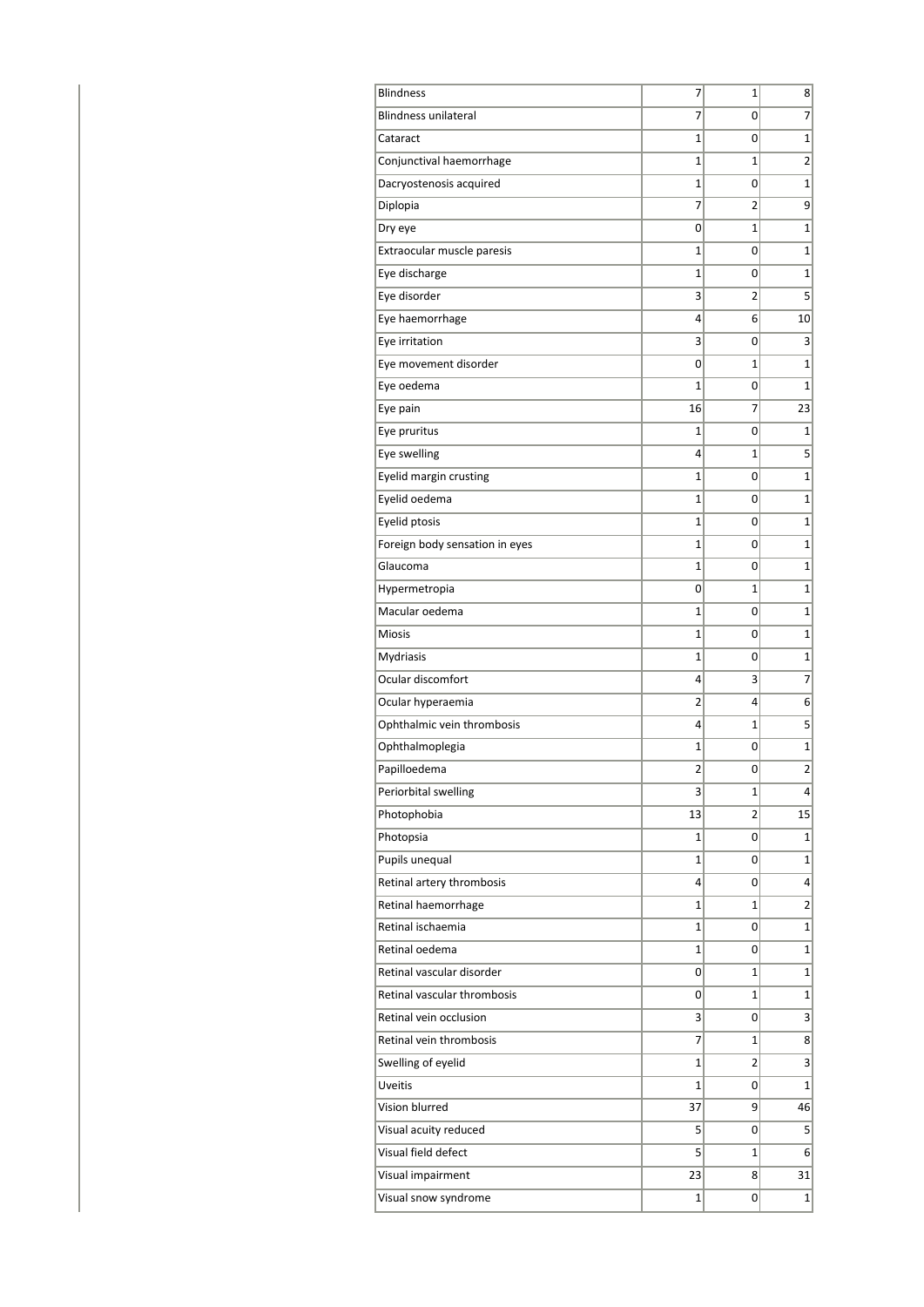| <b>Blindness</b>               | 7  | 1 | 8               |
|--------------------------------|----|---|-----------------|
| <b>Blindness unilateral</b>    | 7  | 0 | $\overline{7}$  |
| Cataract                       | 1  | 0 | $\mathbf 1$     |
| Conjunctival haemorrhage       | 1  | 1 | $\overline{2}$  |
| Dacryostenosis acquired        | 1  | 0 | $\mathbf{1}$    |
| Diplopia                       | 7  | 2 | 9               |
| Dry eye                        | 0  | 1 | 1               |
| Extraocular muscle paresis     | 1  | 0 | $\mathbf{1}$    |
| Eye discharge                  | 1  | 0 | $\mathbf{1}$    |
| Eye disorder                   | 3  | 2 | 5               |
| Eye haemorrhage                | 4  | 6 | 10              |
| Eye irritation                 | 3  | 0 | 3               |
| Eye movement disorder          | 0  | 1 | $\mathbf{1}$    |
| Eye oedema                     | 1  | 0 | 1               |
| Eye pain                       | 16 | 7 | 23              |
| Eye pruritus                   | 1  | 0 | $\mathbf{1}$    |
| Eye swelling                   | 4  | 1 | 5               |
| Eyelid margin crusting         | 1  | 0 | $\mathbf{1}$    |
| Eyelid oedema                  | 1  | 0 | 1               |
| Eyelid ptosis                  | 1  | 0 | $\mathbf{1}$    |
| Foreign body sensation in eyes | 1  | 0 | $\mathbf{1}$    |
| Glaucoma                       | 1  | 0 | $\mathbf{1}$    |
| Hypermetropia                  | 0  | 1 | $\mathbf{1}$    |
| Macular oedema                 | 1  | 0 | 1               |
| <b>Miosis</b>                  | 1  | 0 | 1               |
| Mydriasis                      | 1  | 0 | 1               |
| Ocular discomfort              | 4  | 3 | 7               |
| Ocular hyperaemia              | 2  | 4 | 6               |
| Ophthalmic vein thrombosis     | 4  | 1 | 5               |
| Ophthalmoplegia                | 1  | 0 | $\mathbf 1$     |
| Papilloedema                   | 2  | 0 | $\overline{c}$  |
| Periorbital swelling           | 3  | 1 | 4               |
| Photophobia                    | 13 | 2 | 15              |
| Photopsia                      | 1  | 0 | 1               |
| Pupils unequal                 | 1  | 0 | $\mathbf{1}$    |
| Retinal artery thrombosis      | 4  | 0 | 4               |
| Retinal haemorrhage            | 1  | 1 | 2               |
| Retinal ischaemia              | 1  | 0 | $\mathbf{1}$    |
| Retinal oedema                 | 1  | 0 | $\mathbf{1}$    |
| Retinal vascular disorder      | 0  | 1 | $\mathbf{1}$    |
| Retinal vascular thrombosis    | 0  | 1 | $\mathbf{1}$    |
| Retinal vein occlusion         | 3  | 0 | 3               |
| Retinal vein thrombosis        | 7  | 1 | 8               |
| Swelling of eyelid             | 1  | 2 | $\vert 3 \vert$ |
| Uveitis                        | 1  | 0 | $\mathbf{1}$    |
| Vision blurred                 | 37 | 9 | 46              |
| Visual acuity reduced          | 5  | 0 | 5               |
| Visual field defect            | 5  | 1 | $6 \mid$        |
| Visual impairment              | 23 | 8 | 31              |
| Visual snow syndrome           | 1  | 0 | $\mathbf{1}$    |
|                                |    |   |                 |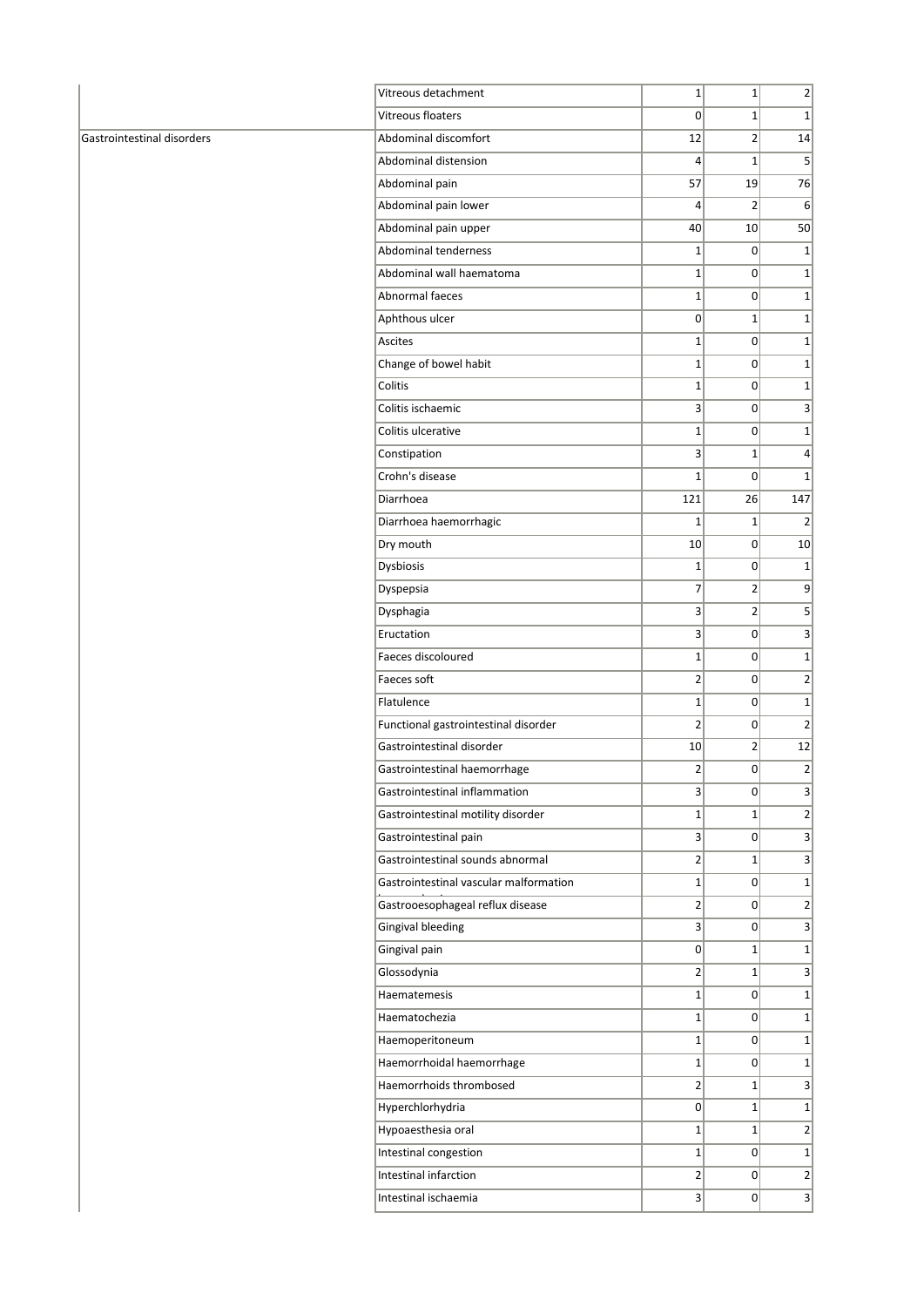|                            | Vitreous detachment                    | $1\vert$                | $\mathbf{1}$   | $\mathbf{2}$    |
|----------------------------|----------------------------------------|-------------------------|----------------|-----------------|
|                            | Vitreous floaters                      | 0                       | $1\vert$       | $1\vert$        |
| Gastrointestinal disorders | Abdominal discomfort                   | 12                      | $\overline{2}$ | 14              |
|                            | Abdominal distension                   | $\vert 4 \vert$         | $\mathbf{1}$   | 5 <sup>2</sup>  |
|                            | Abdominal pain                         | 57                      | 19             | 76              |
|                            | Abdominal pain lower                   | $\vert 4 \vert$         | $\overline{2}$ | 6               |
|                            | Abdominal pain upper                   | 40                      | 10             | 50              |
|                            | Abdominal tenderness                   | $1\vert$                | $\Omega$       | $1\vert$        |
|                            | Abdominal wall haematoma               | $1\vert$                | $\Omega$       | $1\vert$        |
|                            | Abnormal faeces                        | $1\vert$                | $\overline{0}$ | $1\vert$        |
|                            | Aphthous ulcer                         | 0                       | $\mathbf{1}$   | $1\vert$        |
|                            | Ascites                                | $1\vert$                | $\Omega$       | $1\vert$        |
|                            | Change of bowel habit                  | $1\vert$                | $\overline{0}$ | $1\vert$        |
|                            | Colitis                                | $1\vert$                | $\overline{0}$ | $1\vert$        |
|                            | Colitis ischaemic                      | 3                       | $\Omega$       | $\vert 3 \vert$ |
|                            | Colitis ulcerative                     | $1\vert$                | $\Omega$       | $1\vert$        |
|                            | Constipation                           | 3                       | $\mathbf{1}$   | $\vert$         |
|                            | Crohn's disease                        | $\mathbf{1}$            | $\Omega$       | $\mathbf{1}$    |
|                            | Diarrhoea                              | 121                     | 26             | 147             |
|                            | Diarrhoea haemorrhagic                 | $\mathbf 1$             | $\mathbf 1$    | 2               |
|                            | Dry mouth                              | 10                      | $\overline{0}$ | 10              |
|                            | Dysbiosis                              | $1\vert$                | 0              | $1\vert$        |
|                            | Dyspepsia                              | $\overline{7}$          | $\overline{2}$ | $\overline{9}$  |
|                            | Dysphagia                              | 3                       | 2              | 5 <sup>2</sup>  |
|                            | Eructation                             | 3                       | $\overline{0}$ | $\vert$         |
|                            | Faeces discoloured                     | $1\vert$                | $\overline{0}$ | $1\vert$        |
|                            | Faeces soft                            | 2                       | $\Omega$       | $\overline{2}$  |
|                            | Flatulence                             | $1\vert$                | $\Omega$       | $1\vert$        |
|                            | Functional gastrointestinal disorder   | 2                       | $\overline{0}$ | $\overline{2}$  |
|                            | Gastrointestinal disorder              | 10                      | $\overline{2}$ | 12              |
|                            | Gastrointestinal haemorrhage           | $\overline{2}$          | $\Omega$       | $\overline{2}$  |
|                            | Gastrointestinal inflammation          | $\overline{\mathbf{3}}$ | 0              | $\vert$         |
|                            | Gastrointestinal motility disorder     | $1\vert$                | $1\vert$       | $2\vert$        |
|                            | Gastrointestinal pain                  | $\vert$                 | $\overline{0}$ | $\vert 3 \vert$ |
|                            | Gastrointestinal sounds abnormal       | $\overline{2}$          | $1\vert$       | $\vert$ 3       |
|                            | Gastrointestinal vascular malformation | $1\vert$                | 0              | $1\vert$        |
|                            | Gastrooesophageal reflux disease       | $2\vert$                | 0              | $\overline{2}$  |
|                            | <b>Gingival bleeding</b>               | $\overline{\mathbf{3}}$ | $\overline{0}$ | $\vert$         |
|                            | Gingival pain                          | 0                       | $1\vert$       | $1\vert$        |
|                            | Glossodynia                            | 2                       | $1\vert$       | $\vert$         |
|                            | Haematemesis                           | $1\vert$                | $\Omega$       | $1\vert$        |
|                            | Haematochezia                          | $1\vert$                | 0              | $1\vert$        |
|                            | Haemoperitoneum                        | $1\vert$                | $\Omega$       | $1\vert$        |
|                            | Haemorrhoidal haemorrhage              | $1\vert$                | $\Omega$       | $1\vert$        |
|                            | Haemorrhoids thrombosed                | $2\vert$                | $1\vert$       | $\vert$         |
|                            | Hyperchlorhydria                       | 0                       | $1\vert$       | $1\vert$        |
|                            | Hypoaesthesia oral                     | $1\vert$                | $1\vert$       | $\overline{2}$  |
|                            | Intestinal congestion                  | $1\vert$                | $\overline{0}$ | $1\vert$        |
|                            | Intestinal infarction                  | $2\vert$                | $\Omega$       | $\overline{2}$  |
|                            | Intestinal ischaemia                   | 3                       | $\overline{0}$ | 3 <sup>2</sup>  |
|                            |                                        |                         |                |                 |

J.

÷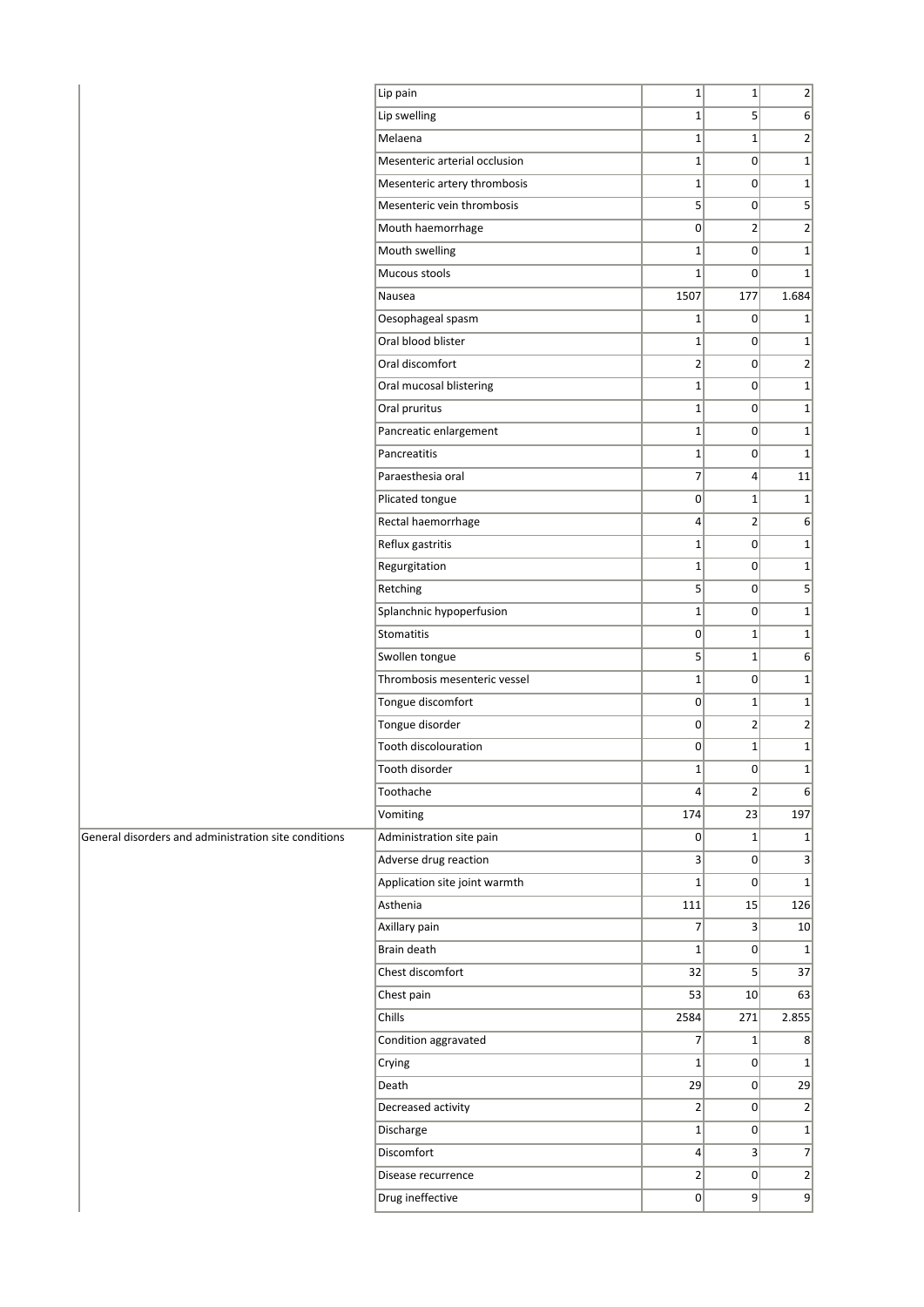|                                                      | Lip pain                      | $1\vert$        | $1\vert$        | $\overline{2}$ |
|------------------------------------------------------|-------------------------------|-----------------|-----------------|----------------|
|                                                      | Lip swelling                  | $1\vert$        | 5 <sup>1</sup>  | 6              |
|                                                      | Melaena                       | $\mathbf{1}$    | $1\vert$        | $\overline{2}$ |
|                                                      | Mesenteric arterial occlusion | $1\vert$        | $\overline{0}$  | $\mathbf 1$    |
|                                                      | Mesenteric artery thrombosis  | $\mathbf{1}$    | $\overline{0}$  | $\mathbf 1$    |
|                                                      | Mesenteric vein thrombosis    | 5 <sup>2</sup>  | 0               | 5              |
|                                                      | Mouth haemorrhage             | $\overline{0}$  | $\overline{2}$  | $\overline{2}$ |
|                                                      | Mouth swelling                | $1\vert$        | $\overline{0}$  | $\mathbf 1$    |
|                                                      | Mucous stools                 | $1\vert$        | $\overline{0}$  | $\mathbf 1$    |
|                                                      | Nausea                        | 1507            | 177             | 1.684          |
|                                                      | Oesophageal spasm             | $1\vert$        | $\overline{0}$  | 1              |
|                                                      | Oral blood blister            | $1\vert$        | $\overline{0}$  | $\mathbf 1$    |
|                                                      | Oral discomfort               | $\overline{2}$  | 0               | $\overline{2}$ |
|                                                      | Oral mucosal blistering       | $1\vert$        | $\overline{0}$  | $\mathbf 1$    |
|                                                      | Oral pruritus                 | $1\vert$        | 0               | $\mathbf 1$    |
|                                                      | Pancreatic enlargement        | $1\vert$        | 0               | $\mathbf 1$    |
|                                                      | Pancreatitis                  | $1\vert$        | 0               | $\mathbf 1$    |
|                                                      | Paraesthesia oral             | $\overline{7}$  | 4               | 11             |
|                                                      | Plicated tongue               | $\overline{0}$  | $1\vert$        | $\mathbf 1$    |
|                                                      | Rectal haemorrhage            | $\vert 4 \vert$ | $2\vert$        | 6              |
|                                                      | Reflux gastritis              | $1\vert$        | $\overline{0}$  | $\mathbf 1$    |
|                                                      | Regurgitation                 | $\mathbf{1}$    | $\overline{0}$  | $\mathbf 1$    |
|                                                      | Retching                      | 5 <sup>2</sup>  | 0               | 5              |
|                                                      | Splanchnic hypoperfusion      | $\mathbf{1}$    | $\overline{0}$  | $\mathbf 1$    |
|                                                      | Stomatitis                    | $\overline{0}$  | $1\vert$        | $\mathbf 1$    |
|                                                      | Swollen tongue                | 5 <sup>2</sup>  | $1\vert$        | 6              |
|                                                      | Thrombosis mesenteric vessel  | $1\vert$        | $\overline{0}$  | $\mathbf 1$    |
|                                                      | Tongue discomfort             | 0               | $1\vert$        | $\mathbf 1$    |
|                                                      | Tongue disorder               | $\overline{0}$  | 2               | $\overline{2}$ |
|                                                      | Tooth discolouration          | $\overline{0}$  | $1\vert$        | $\mathbf 1$    |
|                                                      | Tooth disorder                | $\mathbf{1}$    | 0               | $\mathbf 1$    |
|                                                      | Toothache                     | $\vert 4 \vert$ | $\mathbf{2}$    | $6 \mid$       |
|                                                      | Vomiting                      | 174             | 23              | 197            |
| General disorders and administration site conditions | Administration site pain      | $\overline{0}$  | $1\vert$        | 1              |
|                                                      | Adverse drug reaction         | $\vert 3 \vert$ | $\overline{0}$  | $\overline{3}$ |
|                                                      | Application site joint warmth | $1\vert$        | 0               | $\mathbf 1$    |
|                                                      | Asthenia                      | 111             | 15              | 126            |
|                                                      | Axillary pain                 | $\overline{7}$  | $\vert 3 \vert$ | 10             |
|                                                      | Brain death                   | $1\vert$        | 0               | $\mathbf{1}$   |
|                                                      | Chest discomfort              | 32              | 5 <sup>2</sup>  | 37             |
|                                                      | Chest pain                    | 53              | 10              | 63             |
|                                                      | Chills                        | 2584            | 271             | 2.855          |
|                                                      | Condition aggravated          | $\overline{7}$  | $1\vert$        | 8 <sup>2</sup> |
|                                                      | Crying                        | $1\vert$        | 0               | $\mathbf 1$    |
|                                                      | Death                         | 29              | $\overline{0}$  | 29             |
|                                                      | Decreased activity            | $\overline{2}$  | $\overline{0}$  | $\overline{2}$ |
|                                                      | Discharge                     | $1\vert$        | 0               | $\mathbf 1$    |
|                                                      | Discomfort                    | $\vert 4 \vert$ | $\vert 3 \vert$ | $\overline{7}$ |
|                                                      | Disease recurrence            | $\mathbf{2}$    | $\overline{0}$  | $\mathbf{2}$   |
|                                                      | Drug ineffective              | 0               | 9               | $\overline{9}$ |
|                                                      |                               |                 |                 |                |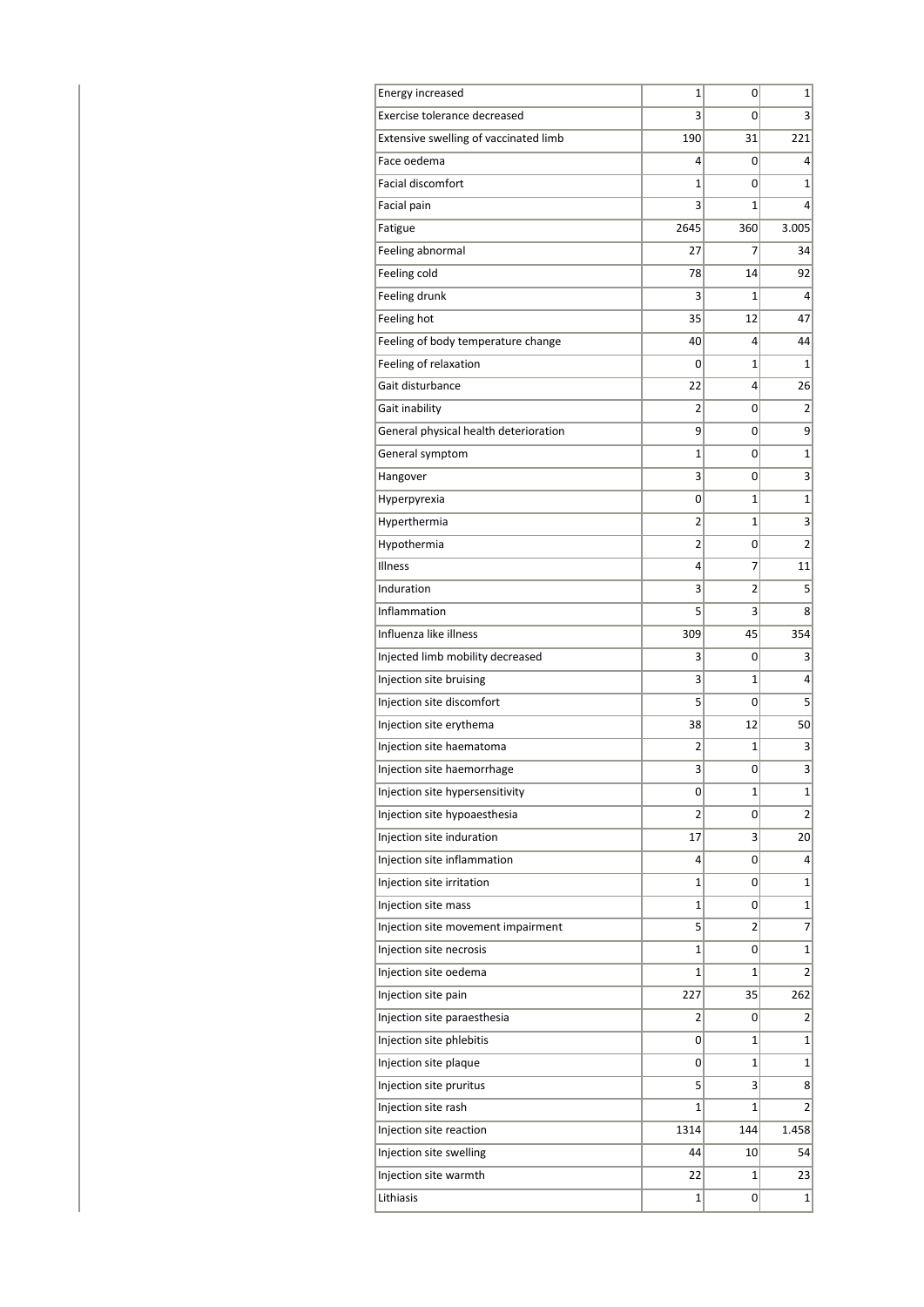| <b>Energy increased</b>               | 1    | 0              | 1              |
|---------------------------------------|------|----------------|----------------|
| Exercise tolerance decreased          | 3    | 0              | 3              |
| Extensive swelling of vaccinated limb | 190  | 31             | 221            |
| Face oedema                           | 4    | 0              | 4              |
| <b>Facial discomfort</b>              | 1    | 0              | $\mathbf{1}$   |
| Facial pain                           | 3    | 1              | 4              |
| Fatigue                               | 2645 | 360            | 3.005          |
| Feeling abnormal                      | 27   | 7              | 34             |
| Feeling cold                          | 78   | 14             | 92             |
| Feeling drunk                         | 3    | 1              | 4              |
| Feeling hot                           | 35   | 12             | 47             |
| Feeling of body temperature change    | 40   | 4              | 44             |
| Feeling of relaxation                 | 0    | 1              | 1              |
| Gait disturbance                      | 22   | 4              | 26             |
| Gait inability                        | 2    | 0              | 2              |
| General physical health deterioration | 9    | 0              | 9              |
| General symptom                       | 1    | 0              | 1              |
| Hangover                              | 3    | 0              | 3              |
| Hyperpyrexia                          | 0    | 1              | 1              |
| Hyperthermia                          | 2    | $\mathbf{1}$   | 3              |
| Hypothermia                           | 2    | 0              | 2              |
| Illness                               | 4    | 7              | 11             |
| Induration                            | 3    | $\overline{2}$ | 5              |
| Inflammation                          | 5    | 3              | 8              |
| Influenza like illness                | 309  | 45             | 354            |
| Injected limb mobility decreased      | 3    | 0              | 3              |
| Injection site bruising               | 3    | 1              | 4              |
| Injection site discomfort             | 5    | 0              | 5              |
| Injection site erythema               | 38   | 12             | 50             |
| Injection site haematoma              | 2    | 1              | 3              |
| Injection site haemorrhage            | 3    | 0              | 3              |
| Injection site hypersensitivity       | 0    | 1              | 1              |
| Injection site hypoaesthesia          | 2    | 0              | $\overline{2}$ |
| Injection site induration             | 17   | 3              | 20             |
| Injection site inflammation           | 4    | 0              | 4              |
| Injection site irritation             | 1    | 0              | 1              |
| Injection site mass                   | 1    | 0              | $\mathbf 1$    |
| Injection site movement impairment    | 5    | 2              | 7              |
| Injection site necrosis               | 1    | 0              | $\mathbf 1$    |
| Injection site oedema                 | 1    | 1              | 2              |
| Injection site pain                   | 227  | 35             | 262            |
| Injection site paraesthesia           | 2    | 0              | 2              |
| Injection site phlebitis              | 0    | $\mathbf{1}$   | $\mathbf{1}$   |
| Injection site plaque                 | 0    | $\mathbf{1}$   | $\mathbf{1}$   |
| Injection site pruritus               | 5    | 3              | 8              |
| Injection site rash                   | 1    | $\mathbf{1}$   | 2              |
| Injection site reaction               | 1314 | 144            | 1.458          |
| Injection site swelling               | 44   | 10             | 54             |
| Injection site warmth                 | 22   | 1              | 23             |
| Lithiasis                             | 1    | 0              | $1\vert$       |
|                                       |      |                |                |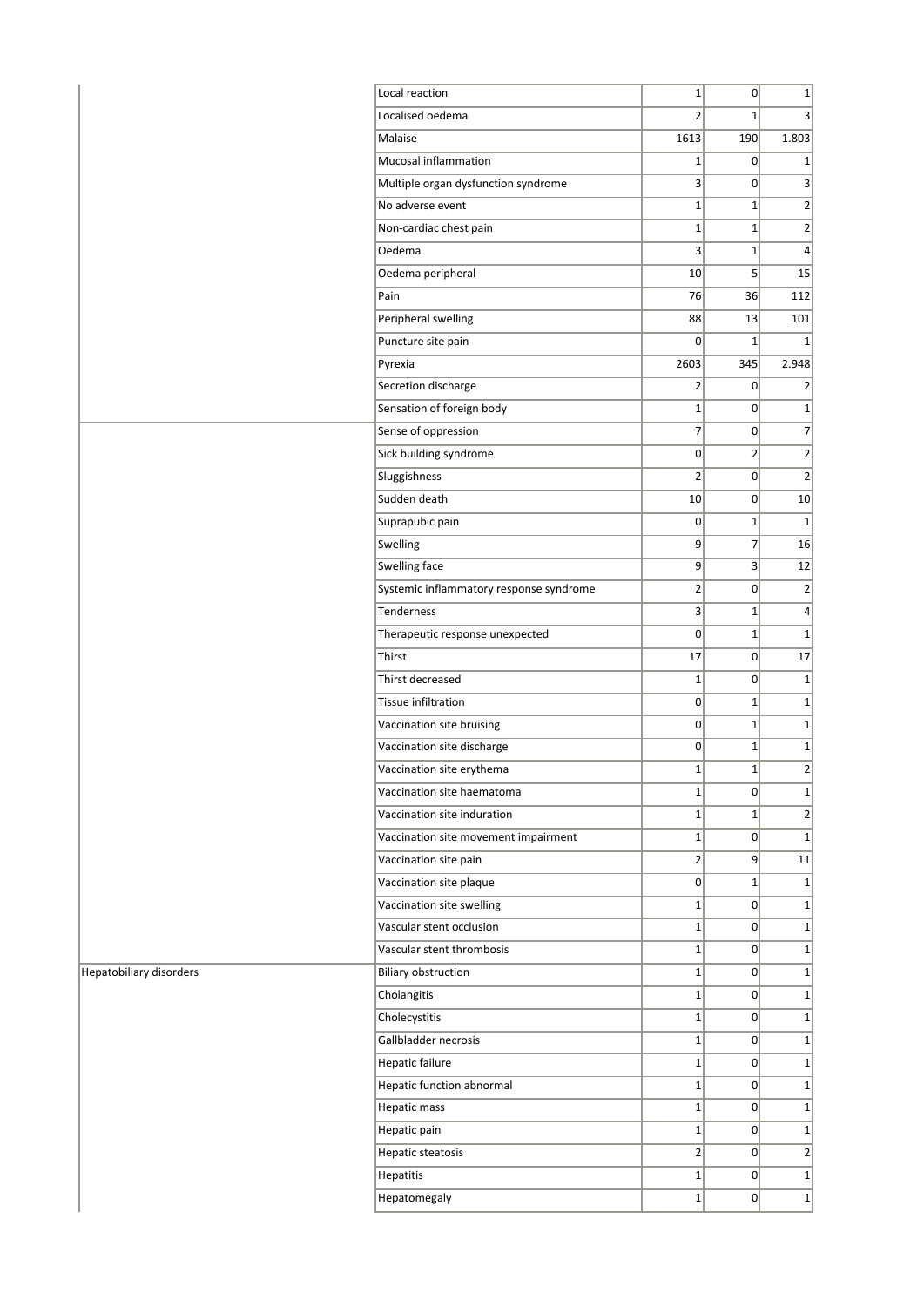|                         | Local reaction                          | $1\vert$       | 0               | $1\vert$                     |
|-------------------------|-----------------------------------------|----------------|-----------------|------------------------------|
|                         | Localised oedema                        | $\overline{2}$ | $1\vert$        | 3 <sup>1</sup>               |
|                         | Malaise                                 | 1613           | 190             | 1.803                        |
|                         | Mucosal inflammation                    | $1\vert$       | $\overline{0}$  | $1\vert$                     |
|                         | Multiple organ dysfunction syndrome     | 3              | 0               | 3                            |
|                         | No adverse event                        | $1\vert$       | $1\vert$        | $2\vert$                     |
|                         | Non-cardiac chest pain                  | $1\vert$       | $1\vert$        | 2                            |
|                         | Oedema                                  | 3 <sup>1</sup> | $1\vert$        | $\vert$                      |
|                         | Oedema peripheral                       | 10             | 5 <sup>2</sup>  | 15                           |
|                         | Pain                                    | 76             | 36              | 112                          |
|                         | Peripheral swelling                     | 88             | 13              | 101                          |
|                         | Puncture site pain                      | $\Omega$       | $1\vert$        | 1 <sup>1</sup>               |
|                         | Pyrexia                                 | 2603           | 345             | 2.948                        |
|                         | Secretion discharge                     | $\overline{2}$ | 0               | $\overline{2}$               |
|                         | Sensation of foreign body               | $1\vert$       | 0               | $1\vert$                     |
|                         | Sense of oppression                     | $\overline{7}$ | 0               | $\overline{7}$               |
|                         | Sick building syndrome                  | $\overline{0}$ | $\overline{2}$  | $2\vert$                     |
|                         | Sluggishness                            | $\overline{2}$ | 0               | 2                            |
|                         | Sudden death                            | 10             | 0               | 10                           |
|                         | Suprapubic pain                         | 0              | $1\vert$        | 1                            |
|                         | Swelling                                | 9              | $\overline{7}$  | 16                           |
|                         | Swelling face                           | 9              | $\vert 3 \vert$ | 12                           |
|                         | Systemic inflammatory response syndrome | $\overline{2}$ | 0               | $\left  \frac{2}{2} \right $ |
|                         | Tenderness                              | 3              | $1\vert$        | $\vert$                      |
|                         | Therapeutic response unexpected         | $\Omega$       | $1\vert$        | 1                            |
|                         | Thirst                                  | 17             | 0               | 17                           |
|                         | Thirst decreased                        | $1\vert$       | $\overline{0}$  | $1\vert$                     |
|                         | Tissue infiltration                     | 0              | $1\vert$        | 1                            |
|                         | Vaccination site bruising               | 0              | $1\vert$        | $1\vert$                     |
|                         | Vaccination site discharge              | $\overline{0}$ | $1\vert$        | $1\vert$                     |
|                         | Vaccination site erythema               | $\mathbf{1}$   | $1\vert$        | $2\vert$                     |
|                         | Vaccination site haematoma              | $1\vert$       | 0               | $1\vert$                     |
|                         | Vaccination site induration             | $1\vert$       | $1\vert$        | 2                            |
|                         | Vaccination site movement impairment    | $1\vert$       | $\overline{0}$  | $1\vert$                     |
|                         | Vaccination site pain                   | $\overline{2}$ | $\mathsf{g}$    | 11                           |
|                         | Vaccination site plaque                 | 0              | $1\vert$        | $1\vert$                     |
|                         | Vaccination site swelling               | $1\vert$       | 0               | $1\vert$                     |
|                         | Vascular stent occlusion                | $1\vert$       | 0               | $1\vert$                     |
|                         | Vascular stent thrombosis               | $1\vert$       | 0               | $1\vert$                     |
| Hepatobiliary disorders | <b>Biliary obstruction</b>              | $1\vert$       | $\overline{0}$  | 1                            |
|                         | Cholangitis                             | $1\vert$       | $\overline{0}$  | $1\vert$                     |
|                         | Cholecystitis                           | $1\vert$       | $\overline{0}$  | $1\vert$                     |
|                         | Gallbladder necrosis                    | $1\vert$       | 0               | 1                            |
|                         | <b>Hepatic failure</b>                  | $1\vert$       | $\Omega$        | 1                            |
|                         | Hepatic function abnormal               | $1\vert$       | 0               | $1\vert$                     |
|                         | Hepatic mass                            | $1\vert$       | $\overline{0}$  | 1                            |
|                         | Hepatic pain                            | $1\vert$       | $\overline{0}$  | 1                            |
|                         | Hepatic steatosis                       | 2              | $\overline{0}$  | 2                            |
|                         | Hepatitis                               | $1\vert$       | 0               | $1\vert$                     |
|                         | Hepatomegaly                            | $1\vert$       | $\overline{0}$  | 1                            |
|                         |                                         |                |                 |                              |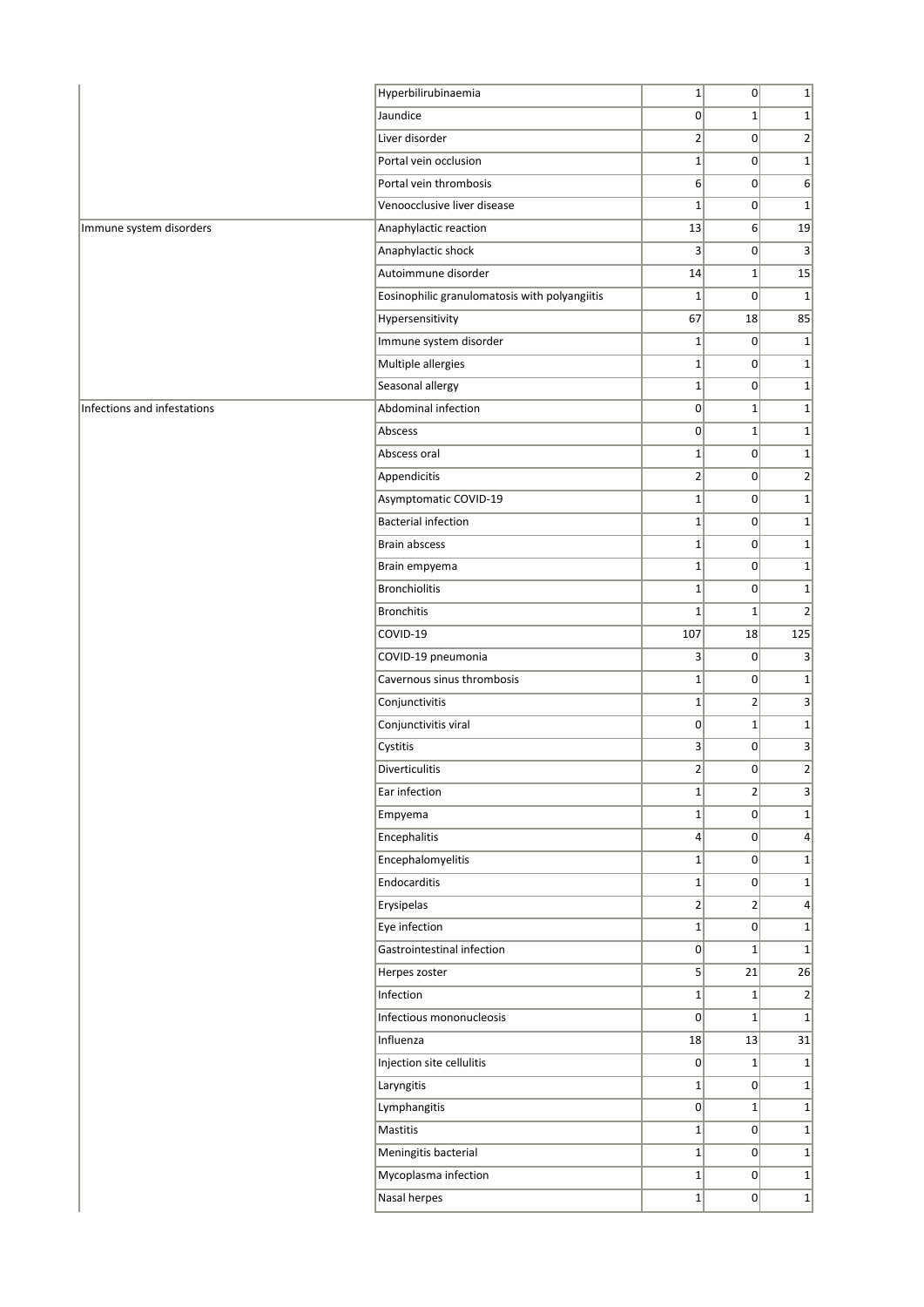|                             | Hyperbilirubinaemia                           | $1\vert$                    | $\vert 0 \vert$ | $1\vert$                                    |
|-----------------------------|-----------------------------------------------|-----------------------------|-----------------|---------------------------------------------|
|                             | Jaundice                                      | $\overline{0}$              | $\mathbf{1}$    | $1\vert$                                    |
|                             | Liver disorder                                | $\overline{\mathbf{c}}$     | 0               | $\mathbf{2}$                                |
|                             | Portal vein occlusion                         | $\mathbf{1}$                | 0               | $1\overline{ }$                             |
|                             | Portal vein thrombosis                        | 6                           | 0               | $6 \mid$                                    |
|                             | Venoocclusive liver disease                   | $1\vert$                    | 0               | $1\overline{ }$                             |
| Immune system disorders     | Anaphylactic reaction                         | 13                          | 6               | 19                                          |
|                             | Anaphylactic shock                            | 3                           | $\vert 0 \vert$ | $\overline{3}$                              |
|                             | Autoimmune disorder                           | 14                          | $\mathbf{1}$    | 15                                          |
|                             | Eosinophilic granulomatosis with polyangiitis | $\mathbf{1}$                | $\mathbf{0}$    | $\mathbf{1}$                                |
|                             | Hypersensitivity                              | 67                          | 18              | 85                                          |
|                             | Immune system disorder                        | $1\vert$                    | 0               | $1\vert$                                    |
|                             | Multiple allergies                            | $1\vert$                    | 0               | $1\vert$                                    |
|                             | Seasonal allergy                              | $\mathbf{1}$                | 0               | $1\overline{ }$                             |
| Infections and infestations | Abdominal infection                           | $\overline{0}$              | $\mathbf{1}$    | $1\vert$                                    |
|                             | Abscess                                       | 0                           | $\mathbf 1$     | $1\overline{ }$                             |
|                             | Abscess oral                                  | $\mathbf 1$                 | 0               | $1\vert$                                    |
|                             | Appendicitis                                  | $\overline{2}$              | 0               | $\overline{2}$                              |
|                             | Asymptomatic COVID-19                         | $1\vert$                    | $\mathbf{0}$    | $1\overline{ }$                             |
|                             | <b>Bacterial infection</b>                    | $\mathbf{1}$                | 0               | $1\vert$                                    |
|                             | <b>Brain abscess</b>                          | $\mathbf 1$                 | 0               | $1\overline{ }$                             |
|                             |                                               |                             | 0               | $1\vert$                                    |
|                             | Brain empyema<br><b>Bronchiolitis</b>         | $\mathbf 1$<br>$\mathbf{1}$ | 0               | $1\overline{ }$                             |
|                             | <b>Bronchitis</b>                             | $\mathbf{1}$                | $\mathbf{1}$    |                                             |
|                             |                                               |                             |                 | $\overline{2}$                              |
|                             | COVID-19                                      | 107                         | 18              | 125                                         |
|                             | COVID-19 pneumonia                            | 3                           | 0               | 3                                           |
|                             | Cavernous sinus thrombosis                    | $\mathbf{1}$<br>$1\vert$    | 0               | $1\vert$<br>$\overline{3}$                  |
|                             | Conjunctivitis                                |                             | $\overline{2}$  |                                             |
|                             | Conjunctivitis viral                          | 0                           | $\mathbf{1}$    | $1\vert$                                    |
|                             | Cystitis                                      | 3                           | 0 <br>$\Omega$  | $\overline{3}$                              |
|                             | <b>Diverticulitis</b>                         | $\overline{2}$              |                 | $\overline{2}$                              |
|                             | Ear infection                                 | $1\vert$                    | $\overline{2}$  | $\mathbf{3}$                                |
|                             | Empyema                                       | $1\vert$                    | 0               | $1\vert$                                    |
|                             | Encephalitis                                  | $\vert 4 \vert$             | 0               | $\vert 4 \vert$                             |
|                             | Encephalomyelitis                             | $1\vert$                    | 0               | $1\overline{ }$                             |
|                             | Endocarditis                                  | $\mathbf 1$                 | 0               | $1\vert$                                    |
|                             | Erysipelas                                    | $2\vert$                    | $\overline{2}$  | $\vert 4 \vert$                             |
|                             | Eye infection                                 | $1\vert$                    | 0               | $1\overline{ }$                             |
|                             | Gastrointestinal infection                    | $\overline{0}$              | $1\vert$        | $1\vert$                                    |
|                             | Herpes zoster                                 | 5 <sup>2</sup>              | 21              | 26                                          |
|                             | Infection                                     | $\mathbf 1$                 | $\mathbf{1}$    | $\overline{2}$                              |
|                             | Infectious mononucleosis                      | $\overline{0}$              | $1\vert$        | $1\overline{ }$                             |
|                             | Influenza                                     | 18                          | 13              | 31                                          |
|                             | Injection site cellulitis                     | 0                           | $1\vert$        | $1\vert$                                    |
|                             | Laryngitis                                    | $1\vert$                    | 0               | $1\overline{ }$                             |
|                             | Lymphangitis                                  | $\overline{0}$              | $\mathbf{1}$    | $1\vert$                                    |
|                             | Mastitis                                      | $1\vert$                    | 0               | $1\overline{ }$                             |
|                             |                                               |                             |                 |                                             |
|                             | Meningitis bacterial                          | $1\vert$                    | 0               |                                             |
|                             | Mycoplasma infection<br>Nasal herpes          | $1\vert$<br>$1\vert$        | 0 <br> 0        | $\mathbf{1}$<br>$1\overline{ }$<br>$1\vert$ |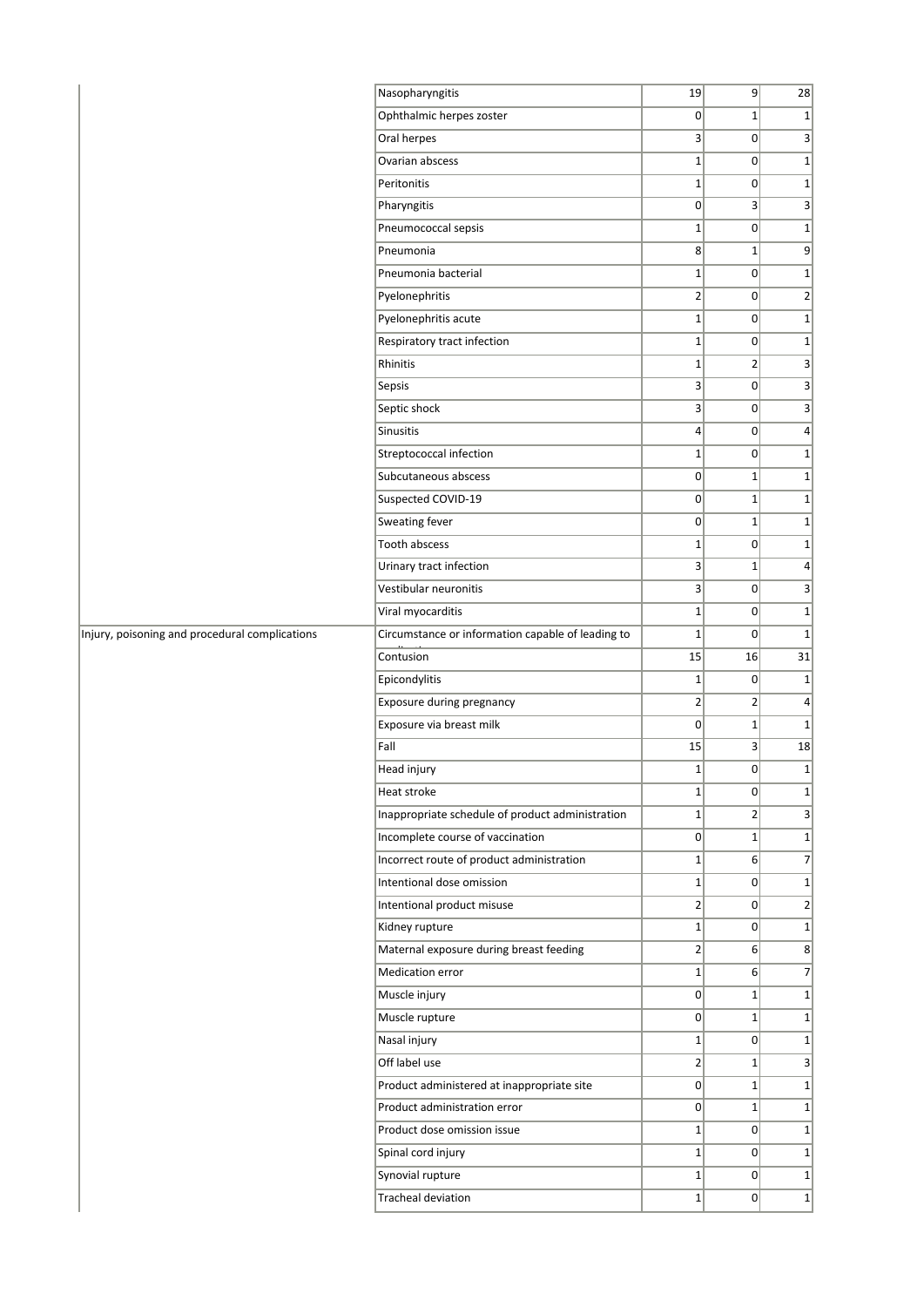|                                                | Nasopharyngitis                                                            | 19             | 9               | 28               |
|------------------------------------------------|----------------------------------------------------------------------------|----------------|-----------------|------------------|
|                                                | Ophthalmic herpes zoster                                                   | 0              | $\mathbf{1}$    | $1\vert$         |
|                                                | Oral herpes                                                                | 3              | $\overline{0}$  | 3                |
|                                                | Ovarian abscess                                                            | $\mathbf 1$    | $\overline{0}$  | 1                |
|                                                | Peritonitis                                                                | $\mathbf 1$    | $\overline{0}$  | $1\vert$         |
|                                                | Pharyngitis                                                                | 0              | $\vert 3 \vert$ | $\vert$ 3        |
|                                                | Pneumococcal sepsis                                                        | $\mathbf 1$    | 0               | $1\vert$         |
|                                                | Pneumonia                                                                  | 8              | $\mathbf{1}$    | 9                |
|                                                | Pneumonia bacterial                                                        | $\mathbf 1$    | $\overline{0}$  | 1                |
|                                                | Pyelonephritis                                                             | $\overline{2}$ | $\overline{0}$  | $\overline{2}$   |
|                                                | Pyelonephritis acute                                                       | $\mathbf 1$    | $\Omega$        | $1\vert$         |
|                                                | Respiratory tract infection                                                | $\mathbf{1}$   | $\overline{0}$  | $1\vert$         |
|                                                | Rhinitis                                                                   | $\mathbf{1}$   | $\overline{2}$  | $\vert$ 3        |
|                                                | Sepsis                                                                     | 3              | $\overline{0}$  | $\vert 3 \vert$  |
|                                                | Septic shock                                                               | 3              | $\overline{0}$  | 3                |
|                                                | Sinusitis                                                                  | $\overline{4}$ | $\overline{0}$  | $\vert$          |
|                                                | Streptococcal infection                                                    | $\mathbf{1}$   | $\overline{0}$  | $1\vert$         |
|                                                | Subcutaneous abscess                                                       | 0              | $\mathbf{1}$    | 1                |
|                                                | Suspected COVID-19                                                         | 0              | $\mathbf{1}$    | $1\vert$         |
|                                                | Sweating fever                                                             | 0              | $\mathbf{1}$    | $1\vert$         |
|                                                | Tooth abscess                                                              | $\mathbf 1$    | $\overline{0}$  | 1                |
|                                                | Urinary tract infection                                                    | 3              | $\mathbf{1}$    | $\vert$          |
|                                                | Vestibular neuronitis                                                      | 3              | $\overline{0}$  | 3                |
|                                                | Viral myocarditis                                                          | $\mathbf{1}$   | $\overline{0}$  | $1\vert$         |
| Injury, poisoning and procedural complications | Circumstance or information capable of leading to                          | $\mathbf 1$    | $\overline{0}$  | 1                |
|                                                | Contusion                                                                  | 15             | 16              | 31               |
|                                                | Epicondylitis                                                              | $\mathbf{1}$   | $\overline{0}$  | 1                |
|                                                | Exposure during pregnancy                                                  | $\overline{2}$ | $\overline{2}$  | $\vert$          |
|                                                | Exposure via breast milk                                                   | 0              | $\mathbf{1}$    | 1                |
|                                                | Fall                                                                       | 15             | 3               | 18               |
|                                                | Head injury                                                                | $\mathbf 1$    | 0               | $1\vert$         |
|                                                | Heat stroke                                                                | $1\vert$       | 0               | 1                |
|                                                | Inappropriate schedule of product administration                           | $\mathbf{1}$   | $\overline{2}$  | 3                |
|                                                | Incomplete course of vaccination                                           | 0              | $1\vert$        | $1\vert$         |
|                                                | Incorrect route of product administration                                  | $\mathbf 1$    | 6 <sup>1</sup>  | 7                |
|                                                | Intentional dose omission                                                  | $\mathbf{1}$   | $\overline{0}$  | $1\vert$         |
|                                                | Intentional product misuse                                                 | $\overline{2}$ | $\overline{0}$  | $\left  \right $ |
|                                                | Kidney rupture                                                             | $\mathbf{1}$   | $\overline{0}$  | 1                |
|                                                | Maternal exposure during breast feeding                                    | $\overline{2}$ | 6 <sup>1</sup>  | 8                |
|                                                | Medication error                                                           | $\mathbf{1}$   | 6 <sup>1</sup>  | 7                |
|                                                | Muscle injury                                                              | $\overline{0}$ | $1\vert$        | $1\vert$         |
|                                                | Muscle rupture                                                             | $\overline{0}$ | $\mathbf{1}$    | 1                |
|                                                | Nasal injury                                                               | $\mathbf{1}$   | $\overline{0}$  | $1\vert$         |
|                                                | Off label use                                                              | $\mathbf{2}$   | $1\vert$        | 3                |
|                                                |                                                                            | $\pmb{0}$      | $1\vert$        | $1\vert$         |
|                                                | Product administered at inappropriate site<br>Product administration error | $\overline{0}$ | $1\vert$        | $1\vert$         |
|                                                |                                                                            |                |                 |                  |
|                                                | Product dose omission issue                                                | $\mathbf{1}$   | $\overline{0}$  | 1                |
|                                                | Spinal cord injury                                                         | $\mathbf{1}$   | $\overline{0}$  | $1\vert$         |
|                                                | Synovial rupture                                                           | $\mathbf{1}$   | $\overline{0}$  | 1                |
|                                                | Tracheal deviation                                                         | $\mathbf{1}$   | $\overline{0}$  | $1\vert$         |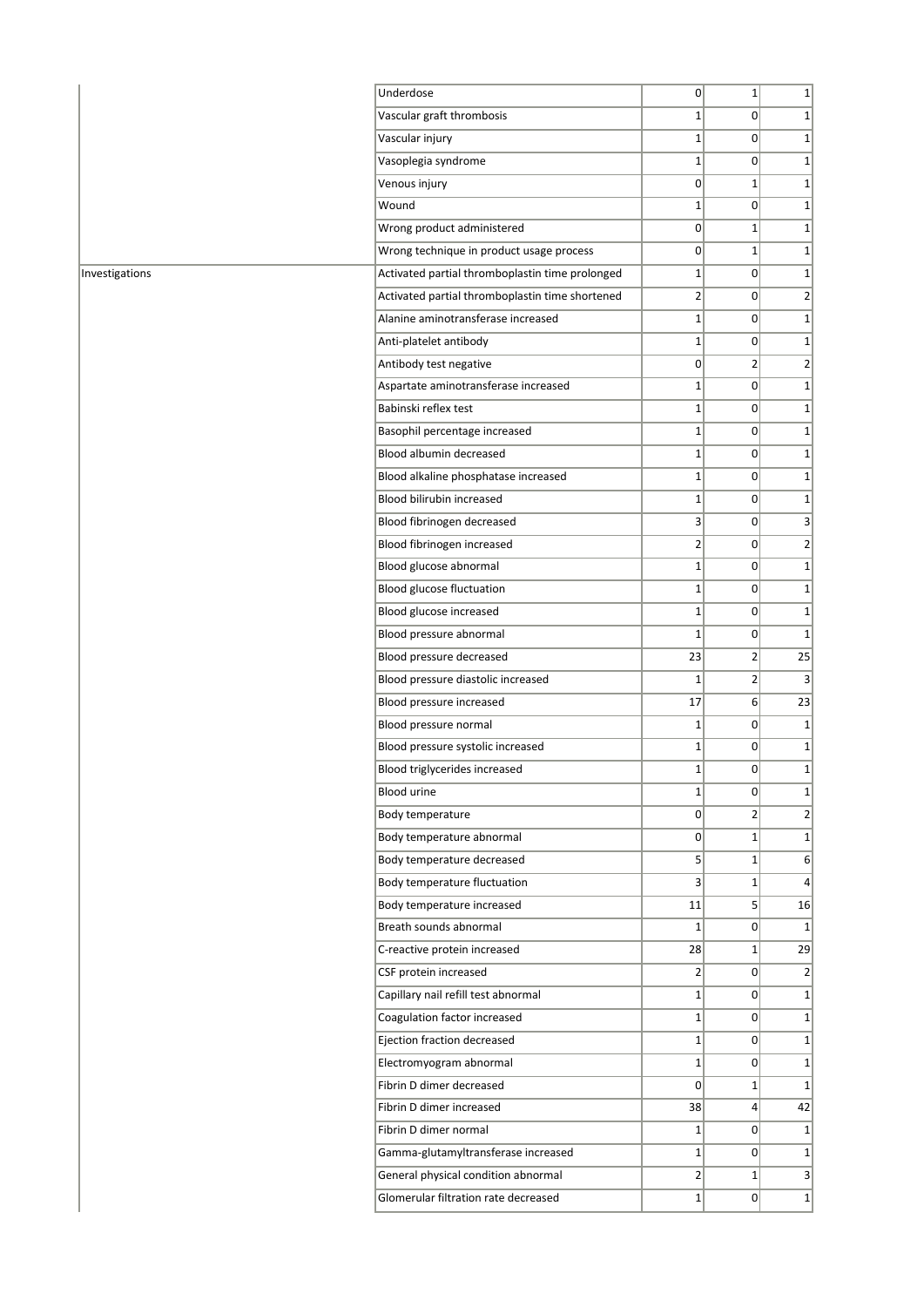| Underdose                                       | $\Omega$       | $1\vert$        | 1                |
|-------------------------------------------------|----------------|-----------------|------------------|
| Vascular graft thrombosis                       | $\mathbf{1}$   | $\overline{0}$  | $1\vert$         |
| Vascular injury                                 | 1              | 0               | $\mathbf{1}$     |
| Vasoplegia syndrome                             | $\mathbf{1}$   | 0               | $\mathbf{1}$     |
| Venous injury                                   | 0              | $\mathbf{1}$    | $\mathbf{1}$     |
| Wound                                           | $\mathbf{1}$   | $\Omega$        | $\mathbf{1}$     |
| Wrong product administered                      | $\overline{0}$ | $1\vert$        | $\mathbf{1}$     |
| Wrong technique in product usage process        | 0              | $1\vert$        | $\mathbf{1}$     |
| Activated partial thromboplastin time prolonged | $\mathbf{1}$   | $\overline{0}$  | $\mathbf{1}$     |
| Activated partial thromboplastin time shortened | 2              | 0               | $\overline{2}$   |
| Alanine aminotransferase increased              | $\mathbf{1}$   | 0               | $\mathbf{1}$     |
| Anti-platelet antibody                          | 1              | 0               | $\mathbf{1}$     |
| Antibody test negative                          | $\overline{0}$ | $\overline{2}$  | 2                |
| Aspartate aminotransferase increased            | $\mathbf{1}$   | 0               | $\mathbf{1}$     |
| Babinski reflex test                            | 1              | 0               | $\mathbf{1}$     |
| Basophil percentage increased                   | $1\vert$       | 0               | $1\vert$         |
| Blood albumin decreased                         | 1              | 0               | 1                |
| Blood alkaline phosphatase increased            | $\mathbf{1}$   | $\overline{0}$  | $\mathbf{1}$     |
| Blood bilirubin increased                       | $\mathbf{1}$   | $\Omega$        | $\mathbf{1}$     |
| Blood fibrinogen decreased                      | 3              | $\Omega$        | 3                |
| Blood fibrinogen increased                      | $\overline{2}$ | 0               | 2                |
| Blood glucose abnormal                          | 1              | $\Omega$        | $\mathbf{1}$     |
| Blood glucose fluctuation                       | $\mathbf{1}$   | 0               | $\mathbf{1}$     |
| Blood glucose increased                         | 1              | 0               | $\mathbf{1}$     |
| Blood pressure abnormal                         | $\mathbf 1$    | $\Omega$        | $\mathbf{1}$     |
| Blood pressure decreased                        | 23             | $\overline{2}$  | 25               |
| Blood pressure diastolic increased              | 1              | $\overline{2}$  | 3                |
| Blood pressure increased                        | 17             | 6 <sup>1</sup>  | 23               |
| Blood pressure normal                           | 1              | 0               | $\mathbf{1}$     |
| Blood pressure systolic increased               | $\mathbf{1}$   | 0               | 1                |
| Blood triglycerides increased                   | 1              | $\overline{0}$  | $\mathbf{1}$     |
| <b>Blood urine</b>                              | $\mathbf{1}$   | $\Omega$        | $\mathbf{1}$     |
| Body temperature                                | 0              | $\overline{2}$  | $\overline{2}$   |
| Body temperature abnormal                       | $\overline{0}$ | $1\vert$        | $1\vert$         |
| Body temperature decreased                      | $\mathsf{S}$   | $1\vert$        | $6 \overline{6}$ |
| Body temperature fluctuation                    | 3              | $1\vert$        | 4                |
| Body temperature increased                      | 11             | 5 <sup>2</sup>  | 16               |
| Breath sounds abnormal                          | $1\vert$       | $\Omega$        | 1                |
| C-reactive protein increased                    | 28             | $1\vert$        | 29               |
| CSF protein increased                           | $\overline{2}$ | 0               | $\overline{2}$   |
| Capillary nail refill test abnormal             | $\mathbf{1}$   | $\Omega$        | $\mathbf{1}$     |
| Coagulation factor increased                    | $1\vert$       | $\overline{0}$  | $1\vert$         |
| Ejection fraction decreased                     | $\mathbf{1}$   | 0               | $\mathbf{1}$     |
| Electromyogram abnormal                         | $1\vert$       | $\Omega$        | $\mathbf{1}$     |
| Fibrin D dimer decreased                        | 0              | $1\vert$        | $\mathbf{1}$     |
| Fibrin D dimer increased                        | 38             | $\vert 4 \vert$ | 42               |
| Fibrin D dimer normal                           | $1\vert$       | $\overline{0}$  | $1\vert$         |
| Gamma-glutamyltransferase increased             | $\mathbf{1}$   | $\Omega$        | $1\vert$         |
| General physical condition abnormal             | $\overline{2}$ | $1\vert$        | $\vert 3 \vert$  |
| Glomerular filtration rate decreased            | $1\vert$       | $\Omega$        | $\mathbf{1}$     |
|                                                 |                |                 |                  |

Investigations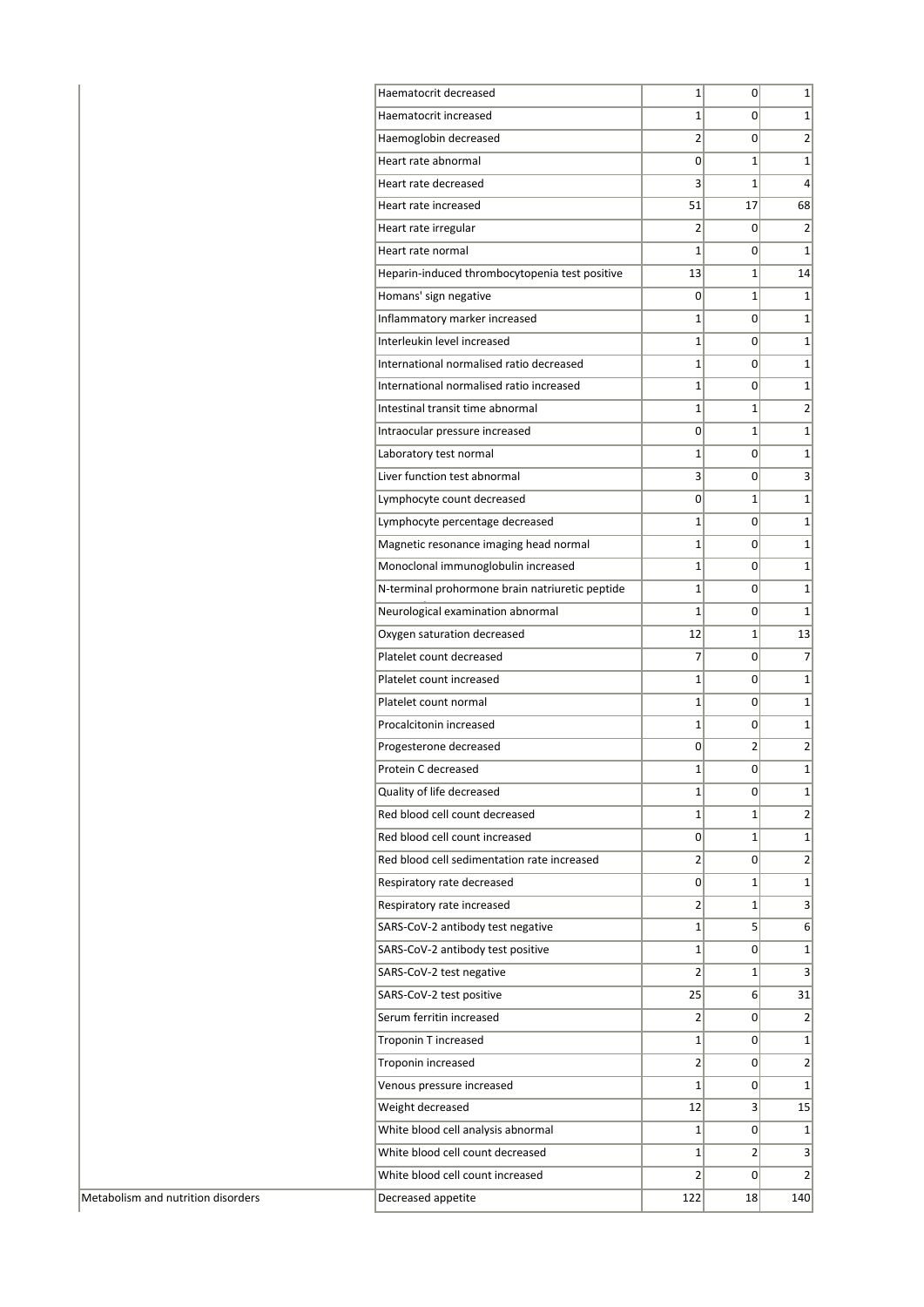| Haematocrit decreased                                                        | 1              | 0              | $1\vert$                                           |
|------------------------------------------------------------------------------|----------------|----------------|----------------------------------------------------|
| Haematocrit increased                                                        | $\mathbf{1}$   | 0              | $\mathbf{1}$                                       |
| Haemoglobin decreased                                                        | $\overline{2}$ | 0              | $\overline{2}$                                     |
| Heart rate abnormal                                                          | 0              | $\mathbf{1}$   | $1\vert$                                           |
| Heart rate decreased                                                         | 3              | $\mathbf{1}$   | 4                                                  |
| Heart rate increased                                                         | 51             | 17             | 68                                                 |
| Heart rate irregular                                                         | $\overline{2}$ | 0              | $\overline{2}$                                     |
| Heart rate normal                                                            | 1              | 0              | $\mathbf{1}$                                       |
| Heparin-induced thrombocytopenia test positive                               | 13             | $\mathbf{1}$   | 14                                                 |
| Homans' sign negative                                                        | 0              | $\mathbf{1}$   | $\mathbf{1}$                                       |
| Inflammatory marker increased                                                | $\mathbf{1}$   | 0              | $1\vert$                                           |
| Interleukin level increased                                                  | $\mathbf{1}$   | 0              | $\mathbf{1}$                                       |
| International normalised ratio decreased                                     | $\mathbf{1}$   | 0              | $\mathbf{1}$                                       |
| International normalised ratio increased                                     | $\mathbf{1}$   | 0              | $\mathbf{1}$                                       |
| Intestinal transit time abnormal                                             | $\mathbf{1}$   | $\mathbf{1}$   | $\overline{2}$                                     |
| Intraocular pressure increased                                               | 0              | $\mathbf{1}$   | $1\vert$                                           |
| Laboratory test normal                                                       | $\mathbf{1}$   | 0              | $1\vert$                                           |
| Liver function test abnormal                                                 | 3              | 0              | 3                                                  |
| Lymphocyte count decreased                                                   | 0              | $\mathbf{1}$   | $\mathbf 1$                                        |
| Lymphocyte percentage decreased                                              | $\mathbf{1}$   | 0              | $\mathbf 1$                                        |
| Magnetic resonance imaging head normal                                       | $\mathbf{1}$   | 0              | $\mathbf{1}$                                       |
| Monoclonal immunoglobulin increased                                          | $\mathbf{1}$   | 0              | $\mathbf{1}$                                       |
| N-terminal prohormone brain natriuretic peptide                              | $\mathbf{1}$   | 0              | $\mathbf 1$                                        |
| Neurological examination abnormal                                            | 1              | 0              | $\mathbf{1}$                                       |
| Oxygen saturation decreased                                                  | 12             | $\mathbf{1}$   | 13                                                 |
| Platelet count decreased                                                     | 7              | 0              | $\overline{7}$                                     |
| Platelet count increased                                                     | 1              | 0              | $\mathbf{1}$                                       |
| Platelet count normal                                                        | $\mathbf{1}$   | 0              | $\mathbf{1}$                                       |
| Procalcitonin increased                                                      | $\mathbf{1}$   | 0              | $\mathbf{1}$                                       |
| Progesterone decreased                                                       | 0              | $\overline{2}$ | $\overline{2}$                                     |
| Protein C decreased                                                          | 1              | 0              | $\mathbf 1$                                        |
| Quality of life decreased                                                    | 1              | 0              | $1\vert$                                           |
| Red blood cell count decreased                                               | $\mathbf{1}$   | $\mathbf{1}$   | $\overline{2}$                                     |
| Red blood cell count increased                                               | 0              | $\mathbf{1}$   | $1\vert$                                           |
| Red blood cell sedimentation rate increased                                  | $\overline{2}$ | 0              | $\overline{2}$                                     |
| Respiratory rate decreased                                                   | 0              | $\mathbf{1}$   | $\mathbf 1$                                        |
| Respiratory rate increased                                                   | $\overline{2}$ | $\mathbf{1}$   | $\overline{\mathbf{3}}$                            |
| SARS-CoV-2 antibody test negative                                            | $\mathbf{1}$   | 5              | $6 \overline{6}$                                   |
| SARS-CoV-2 antibody test positive                                            | $\mathbf{1}$   | 0              | $1\vert$                                           |
| SARS-CoV-2 test negative                                                     | $\overline{2}$ | $\mathbf{1}$   | $\overline{3}$                                     |
| SARS-CoV-2 test positive                                                     | 25             | 6              | 31                                                 |
| Serum ferritin increased                                                     | $\overline{2}$ | 0              | $\overline{2}$                                     |
| Troponin T increased                                                         | $\mathbf{1}$   | 0              | $1\vert$                                           |
|                                                                              | $\overline{2}$ | 0              | $\overline{2}$                                     |
|                                                                              | 1              | 0              | $\mathbf{1}$                                       |
| Venous pressure increased                                                    |                |                |                                                    |
|                                                                              | 12             | 3              |                                                    |
| Troponin increased<br>Weight decreased<br>White blood cell analysis abnormal | $\mathbf{1}$   | 0              |                                                    |
| White blood cell count decreased                                             | $\mathbf{1}$   | $\overline{2}$ |                                                    |
| White blood cell count increased                                             | $\overline{2}$ | 0              | 15<br>$1\vert$<br>$\overline{3}$<br>$\overline{2}$ |

Metabolism and nutrition disorders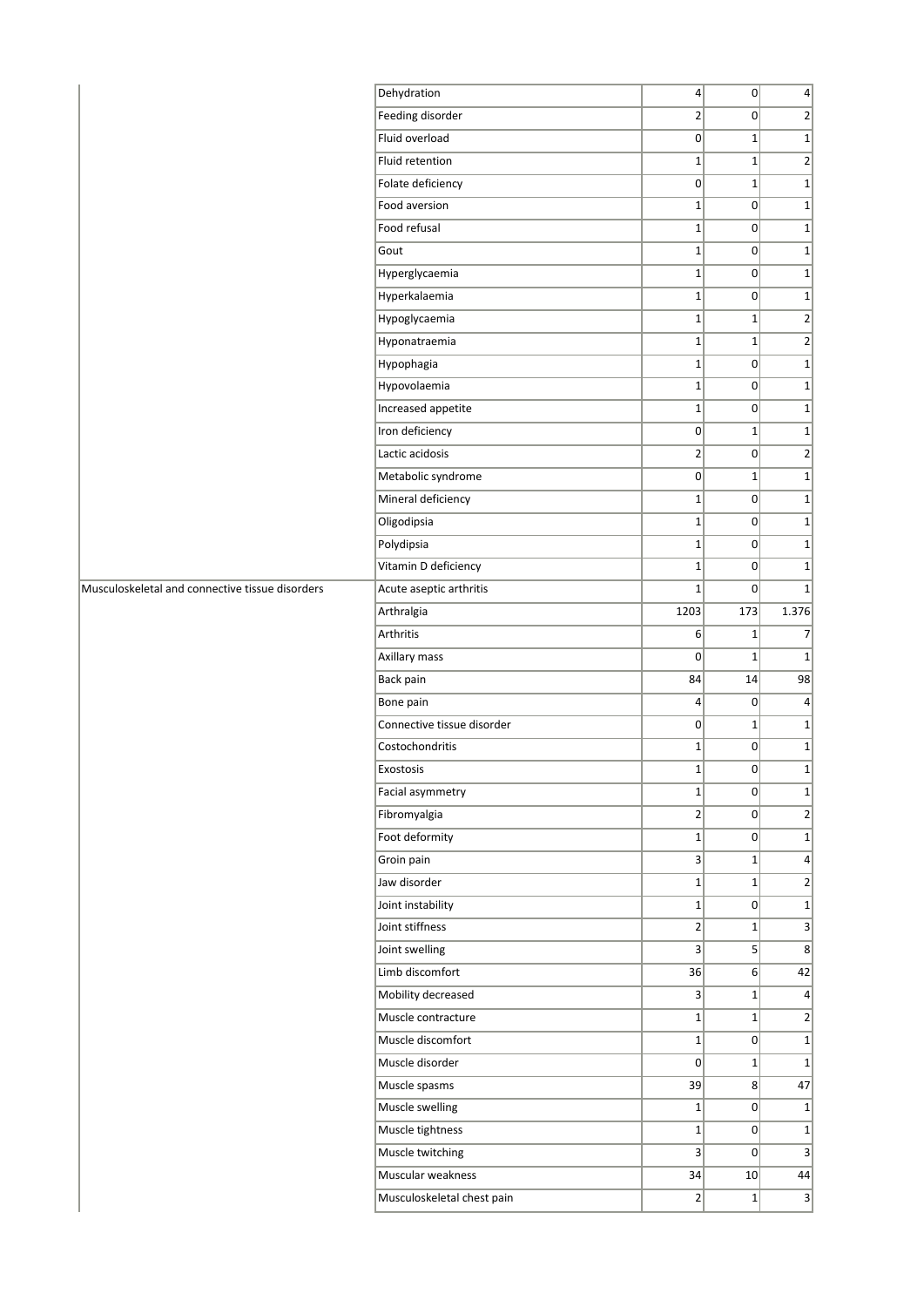|                                                 | Dehydration                | $\vert 4 \vert$ | 0                 | $\vert 4 \vert$ |
|-------------------------------------------------|----------------------------|-----------------|-------------------|-----------------|
|                                                 | Feeding disorder           | $\overline{2}$  | 0                 | $\overline{2}$  |
|                                                 | Fluid overload             | $\overline{0}$  | $\mathbf{1}$      | $\mathbf{1}$    |
|                                                 | Fluid retention            | $\mathbf{1}$    | $\mathbf{1}$      | $\mathbf{2}$    |
|                                                 | Folate deficiency          | $\mathbf 0$     | $\mathbf{1}$      | $1\vert$        |
|                                                 | Food aversion              | $1\vert$        | $\overline{0}$    | $\mathbf{1}$    |
|                                                 | Food refusal               | $\mathbf 1$     | 0                 | $1\overline{ }$ |
|                                                 | Gout                       | $\mathbf{1}$    | 0                 | $1\overline{ }$ |
|                                                 | Hyperglycaemia             | $\mathbf{1}$    | 0                 | $\mathbf{1}$    |
|                                                 | Hyperkalaemia              | $\mathbf 1$     | $\overline{0}$    | $\mathbf{1}$    |
|                                                 | Hypoglycaemia              | $1\vert$        | $1\vert$          | $\mathbf{2}$    |
|                                                 | Hyponatraemia              | $\mathbf{1}$    | $\mathbf{1}$      | $\mathbf{2}$    |
|                                                 | Hypophagia                 | $\mathbf{1}$    | $\overline{0}$    | $1\overline{ }$ |
|                                                 | Hypovolaemia               | $\mathbf{1}$    | 0                 | $1\overline{ }$ |
|                                                 | Increased appetite         | $\mathbf{1}$    | $\overline{0}$    | $\mathbf{1}$    |
|                                                 | Iron deficiency            | $\overline{0}$  | $\mathbf{1}$      | $1\overline{ }$ |
|                                                 | Lactic acidosis            | $\overline{2}$  | $\overline{0}$    | $\overline{2}$  |
|                                                 | Metabolic syndrome         | 0               | $\mathbf{1}$      | $\mathbf{1}$    |
|                                                 | Mineral deficiency         | $\mathbf 1$     | 0                 | $1\overline{ }$ |
|                                                 | Oligodipsia                | $\mathbf{1}$    | 0                 | $1\vert$        |
|                                                 | Polydipsia                 | $\mathbf{1}$    | 0                 | $1\overline{ }$ |
|                                                 | Vitamin D deficiency       | $\mathbf{1}$    | $\overline{0}$    | $1\overline{ }$ |
| Musculoskeletal and connective tissue disorders | Acute aseptic arthritis    | $\mathbf{1}$    | $\overline{0}$    | $1\vert$        |
|                                                 | Arthralgia                 | 1203            | 173               | 1.376           |
|                                                 | Arthritis                  | 6 <sup>1</sup>  | $1\vert$          | $\overline{7}$  |
|                                                 | Axillary mass              | 0               | $\mathbf 1$       | $1\vert$        |
|                                                 | Back pain                  | 84              | 14                | 98              |
|                                                 | Bone pain                  | $\overline{4}$  | 0                 | $\vert$         |
|                                                 | Connective tissue disorder | 0               | $\mathbf{1}$      | $1\overline{ }$ |
|                                                 | Costochondritis            | $\mathbf{1}$    | $\overline{0}$    | $1\vert$        |
|                                                 | Exostosis                  | $\mathbf{1}$    | 0                 | $1\vert$        |
|                                                 | Facial asymmetry           | $\mathbf{1}$    | $\overline{0}$    | $\mathbf{1}$    |
|                                                 | Fibromyalgia               | $\overline{2}$  | 0                 | $\overline{2}$  |
|                                                 | Foot deformity             | $\mathbf{1}$    | 0                 | $1\overline{ }$ |
|                                                 | Groin pain                 | 3               | $1\vert$          | $\vert$         |
|                                                 | Jaw disorder               | $\mathbf{1}$    | $1\vert$          | $\mathbf{2}$    |
|                                                 | Joint instability          | $1\vert$        | $\overline{0}$    | $1\vert$        |
|                                                 | Joint stiffness            | $\overline{2}$  | $\mathbf{1}$      | $\overline{3}$  |
|                                                 | Joint swelling             | 3               | 5 <sup>2</sup>    | 8               |
|                                                 | Limb discomfort            | 36              | 6                 | 42              |
|                                                 | Mobility decreased         | 3               | $1\vert$          | $\vert 4 \vert$ |
|                                                 | Muscle contracture         | $\mathbf{1}$    | $1\vert$          | $\overline{2}$  |
|                                                 | Muscle discomfort          | $\mathbf{1}$    | $\overline{0}$    | $1\vert$        |
|                                                 | Muscle disorder            | $\Omega$        | $1\vert$          | $1\overline{ }$ |
|                                                 | Muscle spasms              | 39              | $\lvert 8 \rvert$ | 47              |
|                                                 | Muscle swelling            | $\mathbf{1}$    | 0                 | $1\overline{ }$ |
|                                                 | Muscle tightness           | $1\vert$        | 0                 | $1\overline{ }$ |
|                                                 | Muscle twitching           | 3               | 0                 | $\overline{3}$  |
|                                                 | Muscular weakness          | 34              | 10                | 44              |
|                                                 | Musculoskeletal chest pain | $\vert$ 2       | 1                 | $\vert$         |
|                                                 |                            |                 |                   |                 |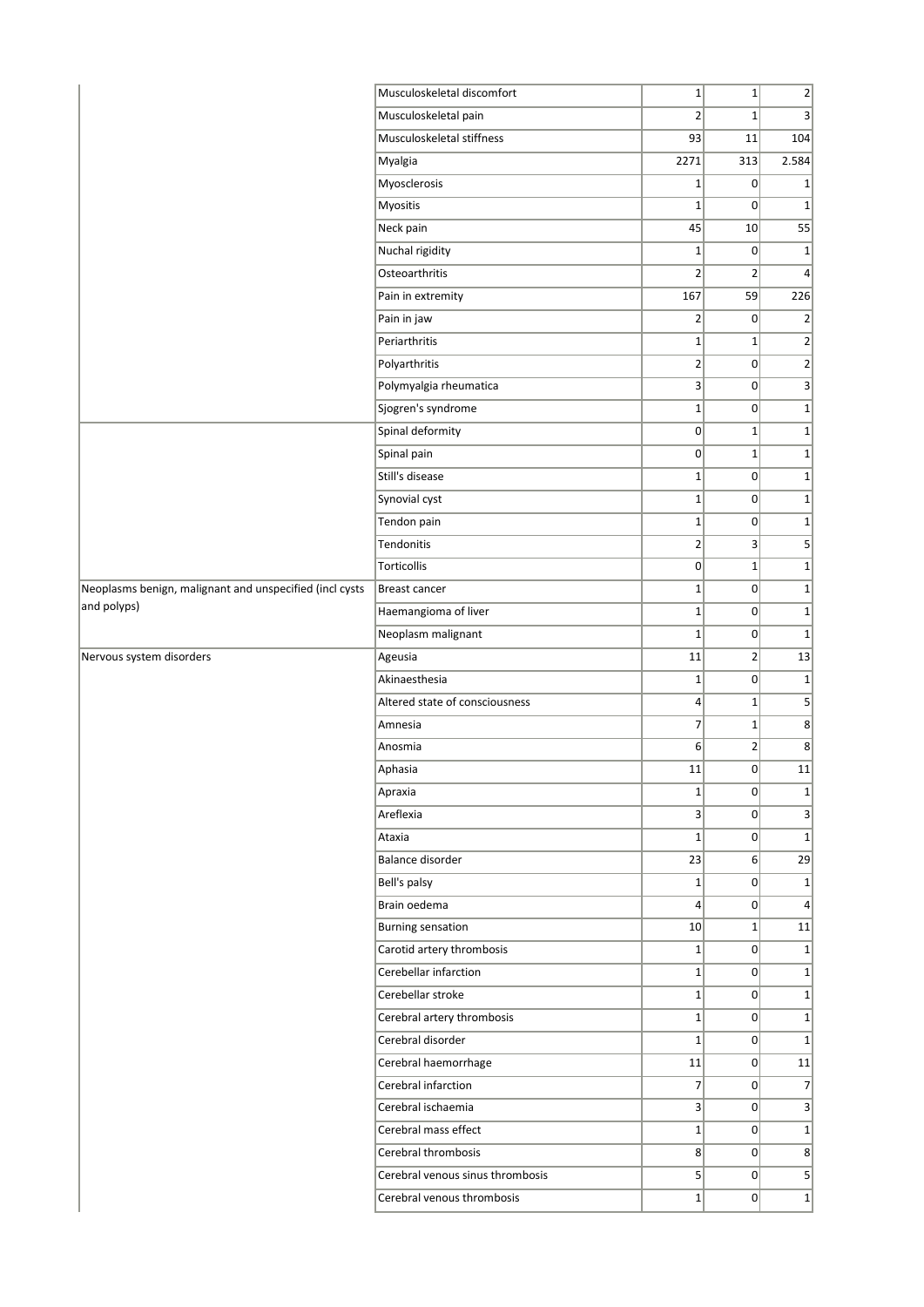|                                                         | Musculoskeletal discomfort       | $1\vert$                | $1\vert$       | $2\vert$                |
|---------------------------------------------------------|----------------------------------|-------------------------|----------------|-------------------------|
|                                                         | Musculoskeletal pain             | $\overline{2}$          | $1\vert$       | $\overline{3}$          |
|                                                         | Musculoskeletal stiffness        | 93                      | 11             | 104                     |
|                                                         | Myalgia                          | 2271                    | 313            | 2.584                   |
|                                                         | Myosclerosis                     | $\mathbf 1$             | 0              | $\mathbf 1$             |
|                                                         | Myositis                         | $\mathbf{1}$            | $\Omega$       | $\mathbf 1$             |
|                                                         | Neck pain                        | 45                      | 10             | 55                      |
|                                                         | Nuchal rigidity                  | $\mathbf{1}$            | 0              | $\mathbf 1$             |
|                                                         | Osteoarthritis                   | $\overline{2}$          | $\overline{2}$ | 4                       |
|                                                         | Pain in extremity                | 167                     | 59             | 226                     |
|                                                         | Pain in jaw                      | 2                       | 0              | $\overline{2}$          |
|                                                         | Periarthritis                    | $\mathbf{1}$            | $1\vert$       | $\mathbf{2}$            |
|                                                         | Polyarthritis                    | $\overline{2}$          | $\overline{0}$ | $2\vert$                |
|                                                         | Polymyalgia rheumatica           | 3                       | $\overline{0}$ | $\overline{\mathbf{3}}$ |
|                                                         | Sjogren's syndrome               | $\mathbf{1}$            | 0              | $1\vert$                |
|                                                         | Spinal deformity                 | 0                       | $1\vert$       | $1\vert$                |
|                                                         | Spinal pain                      | 0                       | $1\vert$       | $\mathbf 1$             |
|                                                         | Still's disease                  | $1\vert$                | $\overline{0}$ | $\mathbf{1}$            |
|                                                         | Synovial cyst                    | $\mathbf{1}$            | $\overline{0}$ | $1\vert$                |
|                                                         | Tendon pain                      | $1\vert$                | $\overline{0}$ | $\mathbf 1$             |
|                                                         | Tendonitis                       | 2                       | $\vert$ 3      | 5 <sup>2</sup>          |
|                                                         | Torticollis                      | 0                       | $1\vert$       | $\mathbf 1$             |
| Neoplasms benign, malignant and unspecified (incl cysts | Breast cancer                    | $1\vert$                | 0              | $\mathbf 1$             |
| and polyps)                                             | Haemangioma of liver             | $\mathbf{1}$            | 0              | $\mathbf{1}$            |
|                                                         | Neoplasm malignant               | $\mathbf{1}$            | $\overline{0}$ | $1\vert$                |
| Nervous system disorders                                | Ageusia                          | 11                      | $\overline{2}$ | 13                      |
|                                                         | Akinaesthesia                    | $\mathbf{1}$            | 0              | $1\overline{ }$         |
|                                                         | Altered state of consciousness   | $\overline{\mathbf{4}}$ | $1\vert$       | $\mathsf{S}$            |
|                                                         | Amnesia                          | $\overline{7}$          | $1\vert$       | 8 <sup>2</sup>          |
|                                                         | Anosmia                          | 6                       | $\overline{2}$ | 8                       |
|                                                         | Aphasia                          | 11                      | $\overline{0}$ | 11                      |
|                                                         | Apraxia                          | $1\vert$                | 0              | $1\vert$                |
|                                                         | Areflexia                        | 3                       | 0              | $\overline{\mathbf{3}}$ |
|                                                         | Ataxia                           | $\mathbf{1}$            | 0              | $1\vert$                |
|                                                         | Balance disorder                 | 23                      | 6 <sup>1</sup> | 29                      |
|                                                         | Bell's palsy                     | $1\vert$                | 0              | $\mathbf{1}$            |
|                                                         | Brain oedema                     | $\vert$                 | 0              | $\overline{4}$          |
|                                                         | <b>Burning sensation</b>         | 10                      | $1\vert$       | 11                      |
|                                                         | Carotid artery thrombosis        | $1\vert$                | 0              | $1\vert$                |
|                                                         | Cerebellar infarction            | $1\vert$                | 0              | $1\vert$                |
|                                                         | Cerebellar stroke                | $\mathbf{1}$            | 0              | $1\vert$                |
|                                                         | Cerebral artery thrombosis       | $1\vert$                | 0              | $\mathbf{1}$            |
|                                                         | Cerebral disorder                | $\mathbf{1}$            | 0              | $1\vert$                |
|                                                         | Cerebral haemorrhage             | 11                      | 0              | 11                      |
|                                                         | Cerebral infarction              | $\overline{7}$          | 0              | $\overline{7}$          |
|                                                         | Cerebral ischaemia               | 3                       | $\overline{0}$ | 3 <sup>1</sup>          |
|                                                         | Cerebral mass effect             | $1\vert$                | $\overline{0}$ | $1\vert$                |
|                                                         | Cerebral thrombosis              |                         |                |                         |
|                                                         |                                  | 8 <sup>2</sup>          | $\overline{0}$ | 8 <sup>2</sup>          |
|                                                         | Cerebral venous sinus thrombosis | 5 <sup>2</sup>          | 0              | $\mathsf{S}$            |
|                                                         | Cerebral venous thrombosis       | $1\vert$                | 0              | $1\vert$                |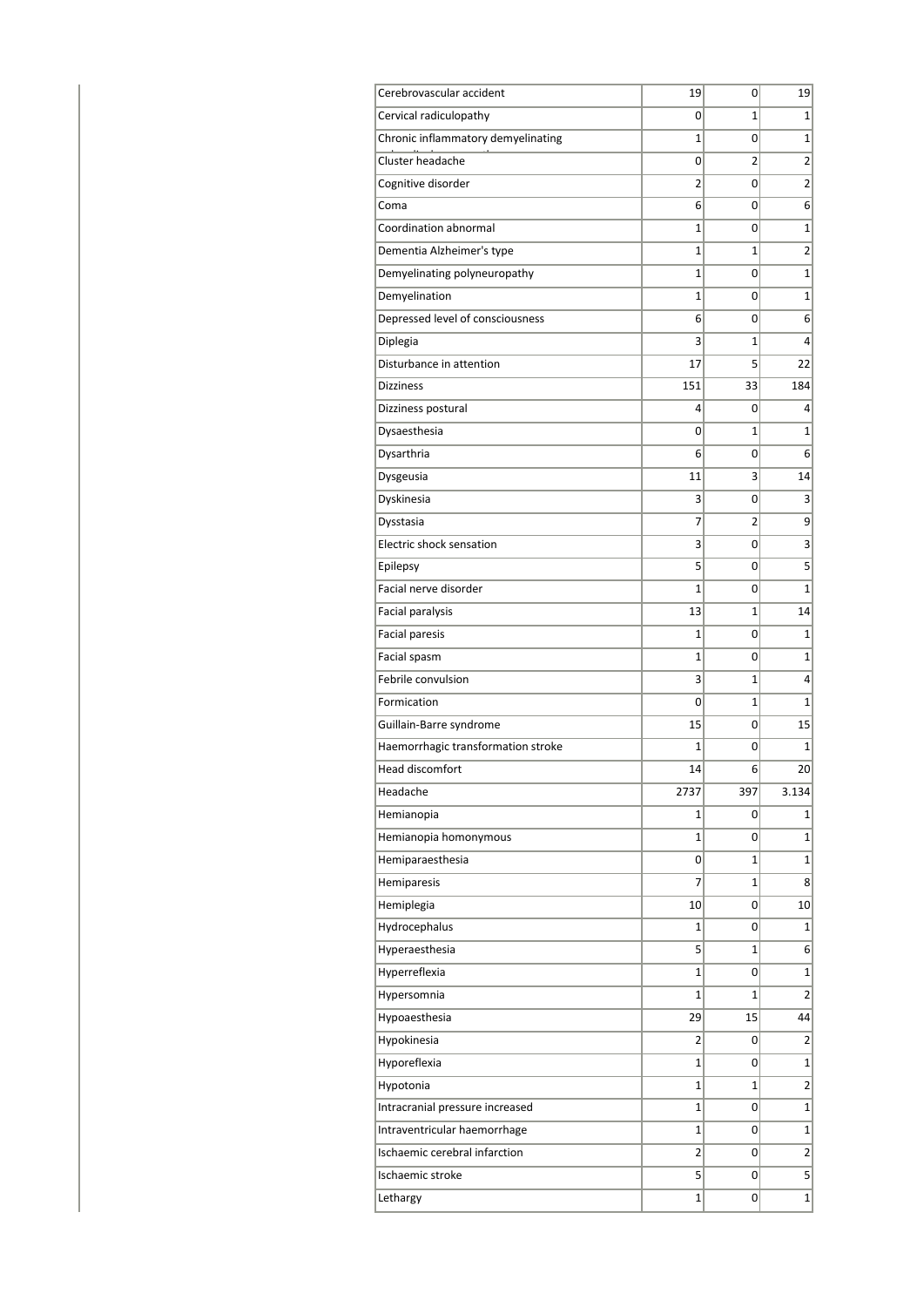| Cerebrovascular accident           | 19             | 0   | 19             |
|------------------------------------|----------------|-----|----------------|
| Cervical radiculopathy             | 0              | 1   | 1              |
| Chronic inflammatory demyelinating | 1              | 0   | 1              |
| Cluster headache                   | 0              | 2   | $\overline{2}$ |
| Cognitive disorder                 | $\overline{2}$ | 0   | 2              |
| Coma                               | 6              | 0   | 6              |
| Coordination abnormal              | 1              | 0   | 1              |
| Dementia Alzheimer's type          | 1              | 1   | 2              |
| Demyelinating polyneuropathy       | 1              | 0   | $\mathbf 1$    |
| Demyelination                      | 1              | 0   | 1              |
| Depressed level of consciousness   | 6              | 0   | 6              |
| Diplegia                           | 3              | 1   | 4              |
| Disturbance in attention           | 17             | 5   | 22             |
| <b>Dizziness</b>                   | 151            | 33  | 184            |
| Dizziness postural                 | 4              | 0   | 4              |
| Dysaesthesia                       | 0              | 1   | 1              |
| Dysarthria                         | 6              | 0   | 6              |
| Dysgeusia                          | 11             | 3   | 14             |
| Dyskinesia                         | 3              | 0   | 3              |
| Dysstasia                          | 7              | 2   | 9              |
| Electric shock sensation           | 3              | 0   | 3              |
| Epilepsy                           | 5              | 0   | 5              |
| Facial nerve disorder              | $\overline{1}$ | 0   | $\mathbf 1$    |
| Facial paralysis                   | 13             | 1   | 14             |
| <b>Facial paresis</b>              | 1              | 0   | 1              |
| Facial spasm                       | 1              | 0   | 1              |
| Febrile convulsion                 | 3              | 1   | 4              |
| Formication                        | 0              | 1   | 1              |
| Guillain-Barre syndrome            | 15             | 0   | 15             |
| Haemorrhagic transformation stroke | 1              | 0   | 1              |
| Head discomfort                    | 14             | 6   | 20             |
| Headache                           | 2737           | 397 | 3.134          |
| Hemianopia                         | 1              | 0   | 1              |
| Hemianopia homonymous              | $\mathbf 1$    | 0   | $\mathbf{1}$   |
| Hemiparaesthesia                   | 0              | 1   | $\mathbf 1$    |
| Hemiparesis                        | 7              | 1   | 8              |
| Hemiplegia                         | 10             | 0   | 10             |
| Hydrocephalus                      | 1              | 0   | 1              |
| Hyperaesthesia                     | 5              | 1   | $6 \mid$       |
| Hyperreflexia                      | $\mathbf 1$    | 0   | 1              |
| Hypersomnia                        | $\mathbf 1$    | 1   | 2              |
| Hypoaesthesia                      | 29             | 15  | 44             |
| Hypokinesia                        | 2              | 0   | 2              |
| Hyporeflexia                       | 1              | 0   | $\mathbf{1}$   |
| Hypotonia                          | 1              | 1   | $\overline{2}$ |
| Intracranial pressure increased    | $\mathbf 1$    | 0   | 1              |
| Intraventricular haemorrhage       | $\mathbf 1$    | 0   | $\mathbf{1}$   |
| Ischaemic cerebral infarction      | 2              | 0   | 2              |
| Ischaemic stroke                   | 5              | 0   | 5              |
| Lethargy                           | $\mathbf 1$    | 0   | $\mathbf{1}$   |
|                                    |                |     |                |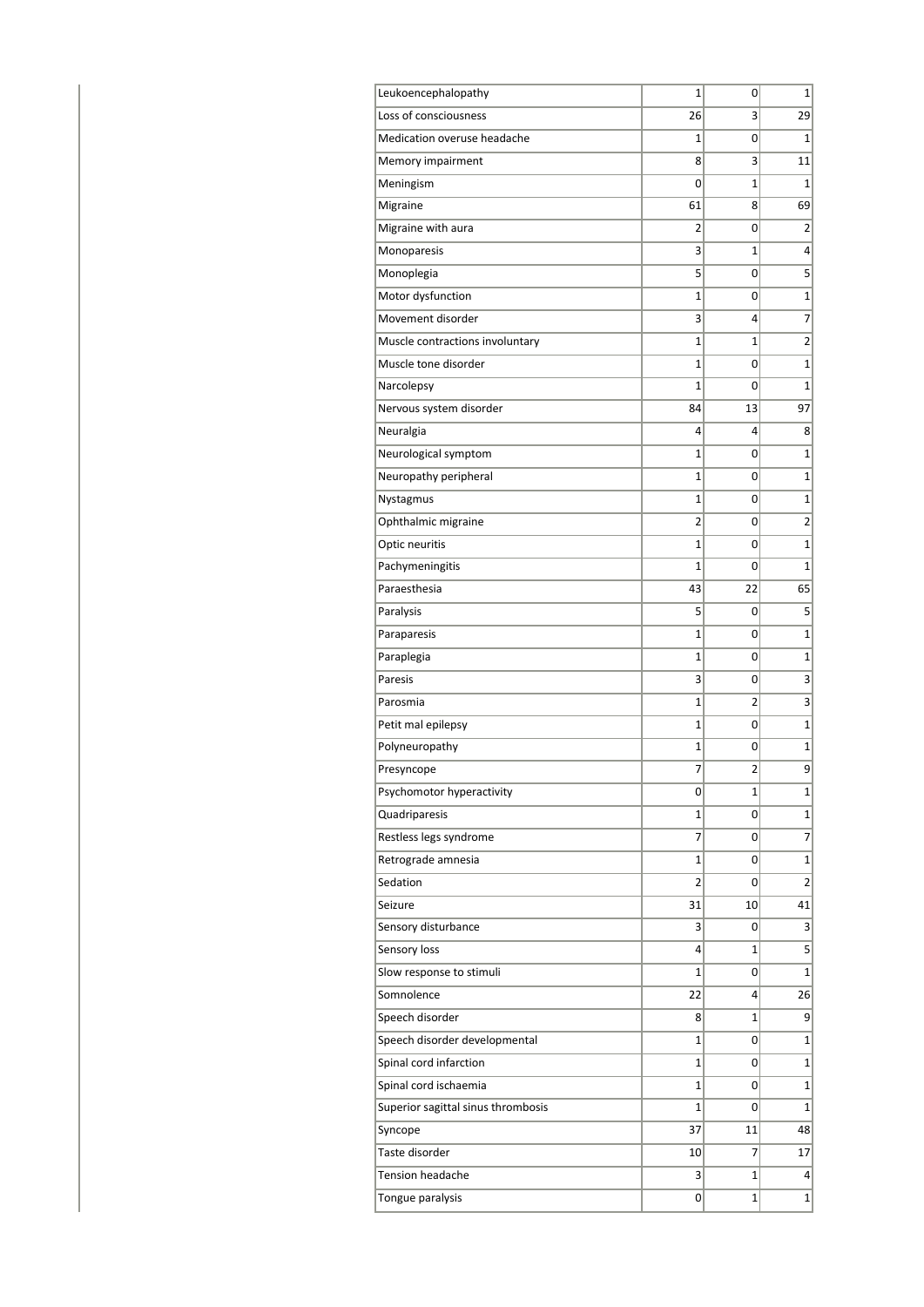| Leukoencephalopathy                | 1              | 0            | 1               |
|------------------------------------|----------------|--------------|-----------------|
| Loss of consciousness              | 26             | 3            | 29              |
| Medication overuse headache        | 1              | 0            | 1               |
| Memory impairment                  | 8              | 3            | 11              |
| Meningism                          | 0              | 1            | 1               |
| Migraine                           | 61             | 8            | 69              |
| Migraine with aura                 | 2              | 0            | 2               |
| Monoparesis                        | 3              | 1            | 4               |
| Monoplegia                         | 5              | 0            | 5               |
| Motor dysfunction                  | 1              | 0            | $\mathbf{1}$    |
| Movement disorder                  | 3              | 4            | $\overline{7}$  |
| Muscle contractions involuntary    | 1              | 1            | $\overline{2}$  |
| Muscle tone disorder               | 1              | 0            | $\mathbf 1$     |
| Narcolepsy                         | 1              | 0            | $\mathbf 1$     |
| Nervous system disorder            | 84             | 13           | 97              |
| Neuralgia                          | 4              | 4            | 8               |
| Neurological symptom               | 1              | 0            | 1               |
| Neuropathy peripheral              | 1              | 0            | 1               |
| Nystagmus                          | 1              | 0            | $\mathbf 1$     |
| Ophthalmic migraine                | 2              | 0            | $\overline{2}$  |
| Optic neuritis                     | 1              | 0            | $\mathbf 1$     |
| Pachymeningitis                    | 1              | 0            | $\overline{1}$  |
| Paraesthesia                       | 43             | 22           | 65              |
| Paralysis                          | 5              | 0            | 5               |
| Paraparesis                        | 1              | 0            | 1               |
| Paraplegia                         | 1              | 0            | $\mathbf 1$     |
| Paresis                            | 3              | 0            | 3               |
| Parosmia                           | 1              | 2            | 3               |
| Petit mal epilepsy                 | 1              | 0            | $\mathbf{1}$    |
| Polyneuropathy                     | 1              | 0            | $\mathbf{1}$    |
| Presyncope                         | 7              | 2            | 9               |
| Psychomotor hyperactivity          | 0              | 1            | 1               |
| Quadriparesis                      | 1              | 0            | 1               |
| Restless legs syndrome             | 7              | 0            | 7               |
| Retrograde amnesia                 | 1              | 0            | $\mathbf{1}$    |
| Sedation                           | $\overline{2}$ | 0            | $\overline{2}$  |
| Seizure                            | 31             | 10           | 41              |
| Sensory disturbance                | 3              | 0            | $\vert 3 \vert$ |
| Sensory loss                       | 4              | 1            | 5               |
| Slow response to stimuli           | 1              | 0            | 1               |
| Somnolence                         | 22             | 4            | 26              |
| Speech disorder                    | 8              | 1            | 9               |
| Speech disorder developmental      | 1              | 0            | 1               |
| Spinal cord infarction             | 1              | 0            | 1               |
| Spinal cord ischaemia              | 1              | 0            | $\mathbf 1$     |
| Superior sagittal sinus thrombosis | 1              | 0            | $\mathbf{1}$    |
| Syncope                            | 37             | 11           | 48              |
| Taste disorder                     | 10             | 7            | 17              |
| <b>Tension headache</b>            | 3              | $\mathbf{1}$ | $\vert 4 \vert$ |
| Tongue paralysis                   | 0              | 1            | $\mathbf{1}$    |
|                                    |                |              |                 |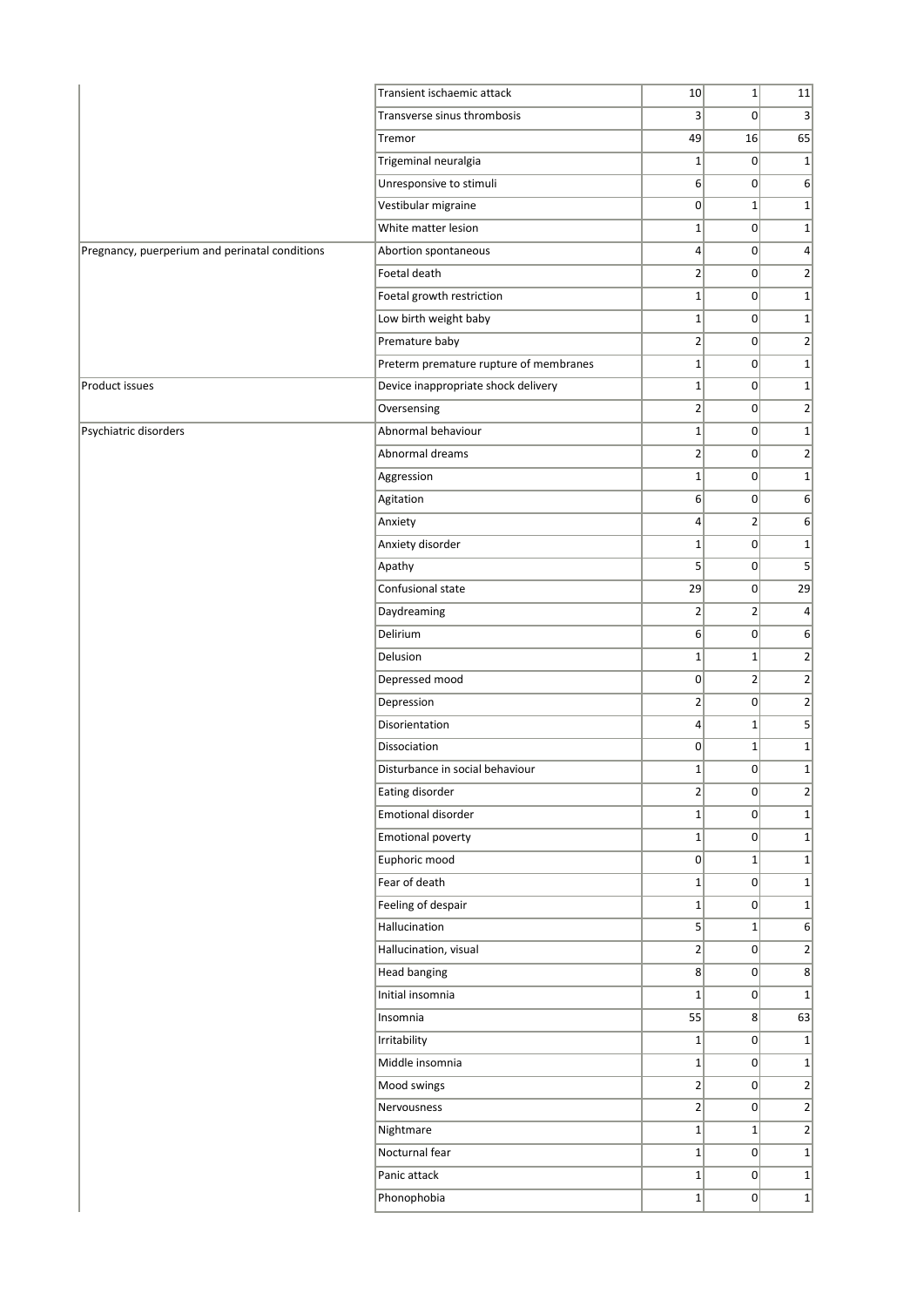|                                                | Transient ischaemic attack             | 10              | $1\vert$       | 11               |
|------------------------------------------------|----------------------------------------|-----------------|----------------|------------------|
|                                                | Transverse sinus thrombosis            | 3               | $\overline{0}$ | 3                |
|                                                | Tremor                                 | 49              | 16             | 65               |
|                                                | Trigeminal neuralgia                   | $1\vert$        | 0              | 1                |
|                                                | Unresponsive to stimuli                | 6               | $\overline{0}$ | 6                |
|                                                | Vestibular migraine                    | 0               | $1\vert$       | $1\vert$         |
|                                                | White matter lesion                    | $\mathbf{1}$    | 0              | $1\vert$         |
| Pregnancy, puerperium and perinatal conditions | Abortion spontaneous                   | $\vert 4 \vert$ | 0              | $\vert$          |
|                                                | Foetal death                           | $\overline{2}$  | 0              | $\left  \right $ |
|                                                | Foetal growth restriction              | $1\vert$        | 0              | $1\vert$         |
|                                                | Low birth weight baby                  | $1\vert$        | 0              | $1\vert$         |
|                                                | Premature baby                         | $\overline{2}$  | $\overline{0}$ | $2\vert$         |
|                                                | Preterm premature rupture of membranes | $1\vert$        | $\Omega$       | $1\vert$         |
| Product issues                                 | Device inappropriate shock delivery    | $\mathbf{1}$    | $\Omega$       | $1\vert$         |
|                                                | Oversensing                            | $\overline{2}$  | $\overline{0}$ | $2\vert$         |
| Psychiatric disorders                          | Abnormal behaviour                     | $1\vert$        | $\overline{0}$ | $\mathbf{1}$     |
|                                                | Abnormal dreams                        | $\mathbf{2}$    | 0              | $2\vert$         |
|                                                | Aggression                             | $1\vert$        | 0              | $1\vert$         |
|                                                | Agitation                              | 6               | $\overline{0}$ | 6                |
|                                                | Anxiety                                | $\vert 4 \vert$ | $\overline{2}$ | 6                |
|                                                | Anxiety disorder                       | $\mathbf{1}$    | 0              | 1                |
|                                                | Apathy                                 | 5 <sup>2</sup>  | $\overline{0}$ | 5 <sup>2</sup>   |
|                                                | Confusional state                      | 29              | 0              | 29               |
|                                                | Daydreaming                            | $\overline{2}$  | $\overline{2}$ | $\vert$          |
|                                                | Delirium                               | 6               | $\overline{0}$ | 6                |
|                                                | Delusion                               | $\mathbf 1$     | $\mathbf{1}$   | $2\vert$         |
|                                                | Depressed mood                         | 0               | $\overline{2}$ | $\overline{2}$   |
|                                                | Depression                             | $\overline{2}$  | $\overline{0}$ | $\left  \right $ |
|                                                | Disorientation                         | $\vert 4 \vert$ | $\mathbf{1}$   | $\mathbf{5}$     |
|                                                | Dissociation                           | 0               | $\mathbf{1}$   | $1\vert$         |
|                                                | Disturbance in social behaviour        | $1\vert$        | $\overline{0}$ | $1\vert$         |
|                                                | Eating disorder                        | $\overline{2}$  | $\overline{0}$ | $\overline{2}$   |
|                                                | Emotional disorder                     | $1\vert$        | 0              | $1\vert$         |
|                                                | Emotional poverty                      | $1\vert$        | $\overline{0}$ | $1\vert$         |
|                                                |                                        | $\overline{0}$  |                | $1\vert$         |
|                                                | Euphoric mood<br>Fear of death         |                 | $1\vert$       |                  |
|                                                |                                        | $1\vert$        | 0              | $1\vert$         |
|                                                | Feeling of despair<br>Hallucination    | $1\vert$        | 0              | $1\vert$         |
|                                                |                                        | 5 <sup>2</sup>  | $1\vert$       | 6                |
|                                                | Hallucination, visual                  | $2\vert$        | $\overline{0}$ | $\overline{2}$   |
|                                                | Head banging                           | 8 <sup>2</sup>  | 0              | 8                |
|                                                | Initial insomnia                       | $1\vert$        | 0              | $1\vert$         |
|                                                | Insomnia                               | 55              | 8 <sup>2</sup> | 63               |
|                                                | Irritability                           | $1\vert$        | 0              | $1\vert$         |
|                                                | Middle insomnia                        | $1\vert$        | 0              | 1                |
|                                                | Mood swings                            | $2\vert$        | $\Omega$       | $\overline{2}$   |
|                                                | Nervousness                            | $\overline{2}$  | $\Omega$       | $\overline{2}$   |
|                                                | Nightmare                              | $1\vert$        | $1\vert$       | $\left  \right $ |
|                                                | Nocturnal fear                         | $1\vert$        | $\overline{0}$ | $1\vert$         |
|                                                | Panic attack                           | $1\vert$        | 0              | $1\vert$         |
|                                                | Phonophobia                            | $1\vert$        | $\Omega$       | 1                |
|                                                |                                        |                 |                |                  |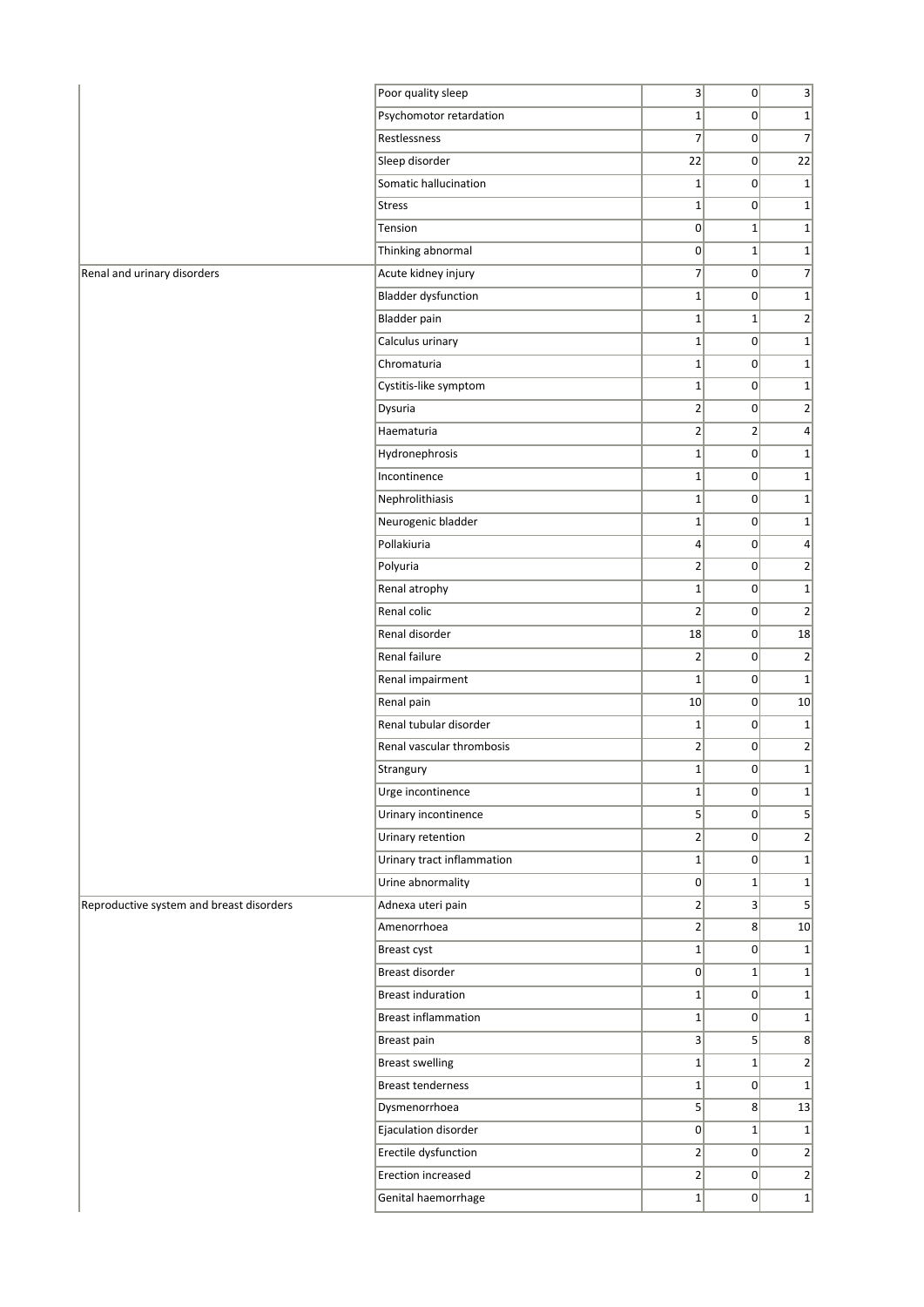|                                          | Poor quality sleep                    | $\overline{3}$ | 0               | $\mathbf{3}$    |
|------------------------------------------|---------------------------------------|----------------|-----------------|-----------------|
|                                          | Psychomotor retardation               | $1\vert$       | $\Omega$        | $1\vert$        |
|                                          | Restlessness                          | $\overline{7}$ | 0               | $\overline{7}$  |
|                                          | Sleep disorder                        | 22             | 0               | 22              |
|                                          | Somatic hallucination                 | $1\vert$       | 0               | $1\overline{ }$ |
|                                          | <b>Stress</b>                         | $1\vert$       | 0               | $1\overline{ }$ |
|                                          | Tension                               | 0              | $\mathbf{1}$    | $1\vert$        |
|                                          | Thinking abnormal                     | $\overline{0}$ | $\mathbf{1}$    | $1\vert$        |
| Renal and urinary disorders              | Acute kidney injury                   | $\overline{7}$ | $\vert 0 \vert$ | $\overline{7}$  |
|                                          | <b>Bladder dysfunction</b>            | $1\vert$       | 0               | $\mathbf{1}$    |
|                                          | Bladder pain                          | $1\vert$       | $1\vert$        | $\overline{2}$  |
|                                          | Calculus urinary                      | $1\vert$       | 0               | $\mathbf{1}$    |
|                                          | Chromaturia                           | $1\vert$       | 0               | $1\overline{ }$ |
|                                          | Cystitis-like symptom                 | $1\vert$       | 0               | $1\vert$        |
|                                          | Dysuria                               | $\overline{2}$ | $\vert 0 \vert$ | $\overline{2}$  |
|                                          | Haematuria                            | $\overline{2}$ | $\overline{2}$  | $\overline{4}$  |
|                                          | Hydronephrosis                        | $1\vert$       | 0               | $\mathbf{1}$    |
|                                          | Incontinence                          | $1\vert$       | 0               | $1\overline{ }$ |
|                                          | Nephrolithiasis                       | $1\vert$       | 0               | $\mathbf{1}$    |
|                                          | Neurogenic bladder                    | $1\vert$       | 0               | $1\overline{ }$ |
|                                          | Pollakiuria                           | 4              | 0               | $\vert 4 \vert$ |
|                                          | Polyuria                              | $\overline{2}$ | 0               | $\overline{2}$  |
|                                          | Renal atrophy                         | $1\vert$       | 0               | $1\overline{ }$ |
|                                          | Renal colic                           | $\overline{2}$ | $\vert 0 \vert$ | $\overline{2}$  |
|                                          | Renal disorder                        | 18             | 0               | 18              |
|                                          | Renal failure                         | $\overline{2}$ | 0               | $\mathbf{2}$    |
|                                          | Renal impairment                      | $1\vert$       | $\vert 0 \vert$ | $1\overline{ }$ |
|                                          | Renal pain                            | 10             | 0               | 10              |
|                                          | Renal tubular disorder                | $1\vert$       | 0               | $1\overline{ }$ |
|                                          | Renal vascular thrombosis             | $\overline{2}$ | 0               | $\overline{2}$  |
|                                          | Strangury                             | $1\vert$       | 0               | $1\vert$        |
|                                          | Urge incontinence                     | $1\vert$       | 0               | $\mathbf{1}$    |
|                                          | Urinary incontinence                  | 5 <sup>1</sup> | $\Omega$        | 5 <sup>2</sup>  |
|                                          | Urinary retention                     | $\overline{2}$ | 0               | $\mathbf{2}$    |
|                                          | Urinary tract inflammation            | $1\vert$       | 0               | $1\overline{ }$ |
|                                          | Urine abnormality                     | $\overline{0}$ | $1\vert$        | $1\overline{ }$ |
| Reproductive system and breast disorders | Adnexa uteri pain                     | $\overline{2}$ | 3 <sup>2</sup>  | 5 <sup>2</sup>  |
|                                          | Amenorrhoea                           | $\overline{2}$ | 8               | 10              |
|                                          | Breast cyst                           | $1\vert$       | 0               | $\mathbf{1}$    |
|                                          | Breast disorder                       | 0              | $1\vert$        | $1\overline{ }$ |
|                                          | <b>Breast induration</b>              | $1\vert$       | 0               | $1\vert$        |
|                                          | <b>Breast inflammation</b>            | $1\vert$       | 0               | $1\overline{ }$ |
|                                          |                                       | 3 <sup>1</sup> | 5 <sup>2</sup>  | 8 <sup>2</sup>  |
|                                          | Breast pain<br><b>Breast swelling</b> | $1\vert$       | $1\vert$        | $\overline{2}$  |
|                                          | <b>Breast tenderness</b>              | $1\vert$       | 0               | $1\overline{ }$ |
|                                          | Dysmenorrhoea                         | $\mathsf{S}$   | 8 <sup>2</sup>  | 13              |
|                                          | Ejaculation disorder                  | 0              | $1\vert$        |                 |
|                                          | Erectile dysfunction                  | 2              | 0               | $1\vert$        |
|                                          |                                       |                |                 | $\overline{2}$  |
|                                          | Erection increased                    | $\overline{2}$ | 0               | $\overline{2}$  |
|                                          | Genital haemorrhage                   | $1\vert$       | $\vert 0 \vert$ | $1\vert$        |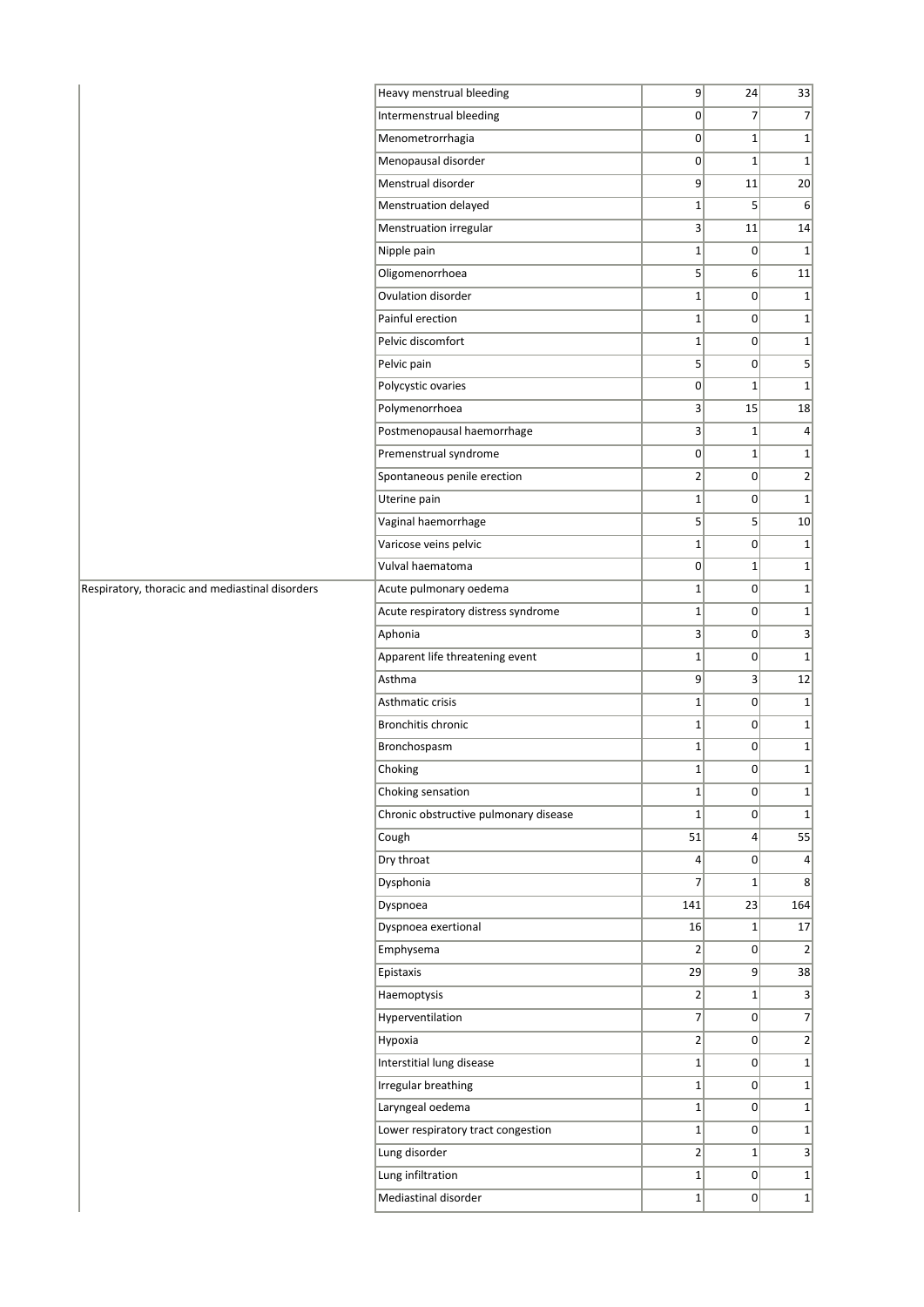|                                                 | Heavy menstrual bleeding              | 9               | 24              | 33                           |
|-------------------------------------------------|---------------------------------------|-----------------|-----------------|------------------------------|
|                                                 | Intermenstrual bleeding               | $\overline{0}$  | $\overline{7}$  | $\overline{7}$               |
|                                                 | Menometrorrhagia                      | 0               | $\mathbf 1$     | 1                            |
|                                                 | Menopausal disorder                   | $\overline{0}$  | $\mathbf{1}$    | $1\vert$                     |
|                                                 | Menstrual disorder                    | 9               | 11              | 20                           |
|                                                 | Menstruation delayed                  | $1\vert$        | 5               | 6                            |
|                                                 | Menstruation irregular                | 3               | 11              | 14                           |
|                                                 | Nipple pain                           | $1\vert$        | 0               | $1\vert$                     |
|                                                 | Oligomenorrhoea                       | 5 <sup>2</sup>  | 6 <sup>1</sup>  | 11                           |
|                                                 | Ovulation disorder                    | $1\vert$        | $\vert 0 \vert$ | 1                            |
|                                                 | Painful erection                      | $1\vert$        | 0               | $1\vert$                     |
|                                                 | Pelvic discomfort                     | $1\vert$        | 0               | $1\vert$                     |
|                                                 | Pelvic pain                           | $\overline{5}$  | 0               | $\vert$                      |
|                                                 | Polycystic ovaries                    | 0               | $\mathbf 1$     | 1                            |
|                                                 | Polymenorrhoea                        | 3 <sup>1</sup>  | 15              | 18                           |
|                                                 | Postmenopausal haemorrhage            | 3               | $1\vert$        | $\vert 4 \vert$              |
|                                                 | Premenstrual syndrome                 | 0               | $\mathbf{1}$    | $1\vert$                     |
|                                                 | Spontaneous penile erection           | $\overline{2}$  | $\overline{0}$  | $\left  \frac{2}{2} \right $ |
|                                                 | Uterine pain                          | $\mathbf{1}$    | 0               | $1\vert$                     |
|                                                 | Vaginal haemorrhage                   | $\overline{5}$  | 5 <sup>2</sup>  | 10                           |
|                                                 | Varicose veins pelvic                 | $1\vert$        | 0               | 1                            |
|                                                 | Vulval haematoma                      | $\Omega$        | $1\vert$        | $1\vert$                     |
| Respiratory, thoracic and mediastinal disorders | Acute pulmonary oedema                | $1\vert$        | 0               | $1\vert$                     |
|                                                 | Acute respiratory distress syndrome   | $1\vert$        | 0               | 1                            |
|                                                 | Aphonia                               | 3               | 0               | 3                            |
|                                                 | Apparent life threatening event       | $1\vert$        | 0               | $1\vert$                     |
|                                                 | Asthma                                | 9               | $\vert 3 \vert$ | 12                           |
|                                                 | Asthmatic crisis                      | $1\vert$        | 0               | 1                            |
|                                                 | Bronchitis chronic                    | $1\vert$        | 0               | $1\vert$                     |
|                                                 | Bronchospasm                          | $1\vert$        | $\overline{0}$  | $1\vert$                     |
|                                                 | Choking                               | $\mathbf{1}$    | $\overline{0}$  | $1\vert$                     |
|                                                 | Choking sensation                     | $1\vert$        | 0               | $1\vert$                     |
|                                                 | Chronic obstructive pulmonary disease | $1\vert$        | 0               | 1                            |
|                                                 | Cough                                 | 51              | $\vert 4 \vert$ | 55                           |
|                                                 | Dry throat                            | $\vert 4 \vert$ | 0               | $\vert 4 \vert$              |
|                                                 | Dysphonia                             | $\overline{7}$  | $\mathbf 1$     | 8                            |
|                                                 | Dyspnoea                              | 141             | 23              | 164                          |
|                                                 | Dyspnoea exertional                   | 16              | $1\vert$        | 17                           |
|                                                 | Emphysema                             | 2               | 0               | $\left 2\right $             |
|                                                 | Epistaxis                             | 29              | 9               | 38                           |
|                                                 | Haemoptysis                           | $2\vert$        | $1\vert$        | $\vert$ 3                    |
|                                                 | Hyperventilation                      | $\overline{7}$  | 0               | $\overline{7}$               |
|                                                 | Hypoxia                               | $\overline{2}$  | 0               | $\left  \frac{2}{2} \right $ |
|                                                 | Interstitial lung disease             | $1\vert$        | 0               | $1\vert$                     |
|                                                 | Irregular breathing                   | $1\vert$        | 0               | 1                            |
|                                                 | Laryngeal oedema                      | $1\vert$        | 0               | $1\vert$                     |
|                                                 | Lower respiratory tract congestion    | $1\vert$        | 0               | $1\vert$                     |
|                                                 | Lung disorder                         | $\overline{2}$  | $1\vert$        | 3                            |
|                                                 | Lung infiltration                     | $1\vert$        | 0               | $1\vert$                     |
|                                                 | Mediastinal disorder                  | $1\vert$        | 0               | $1\vert$                     |
|                                                 |                                       |                 |                 |                              |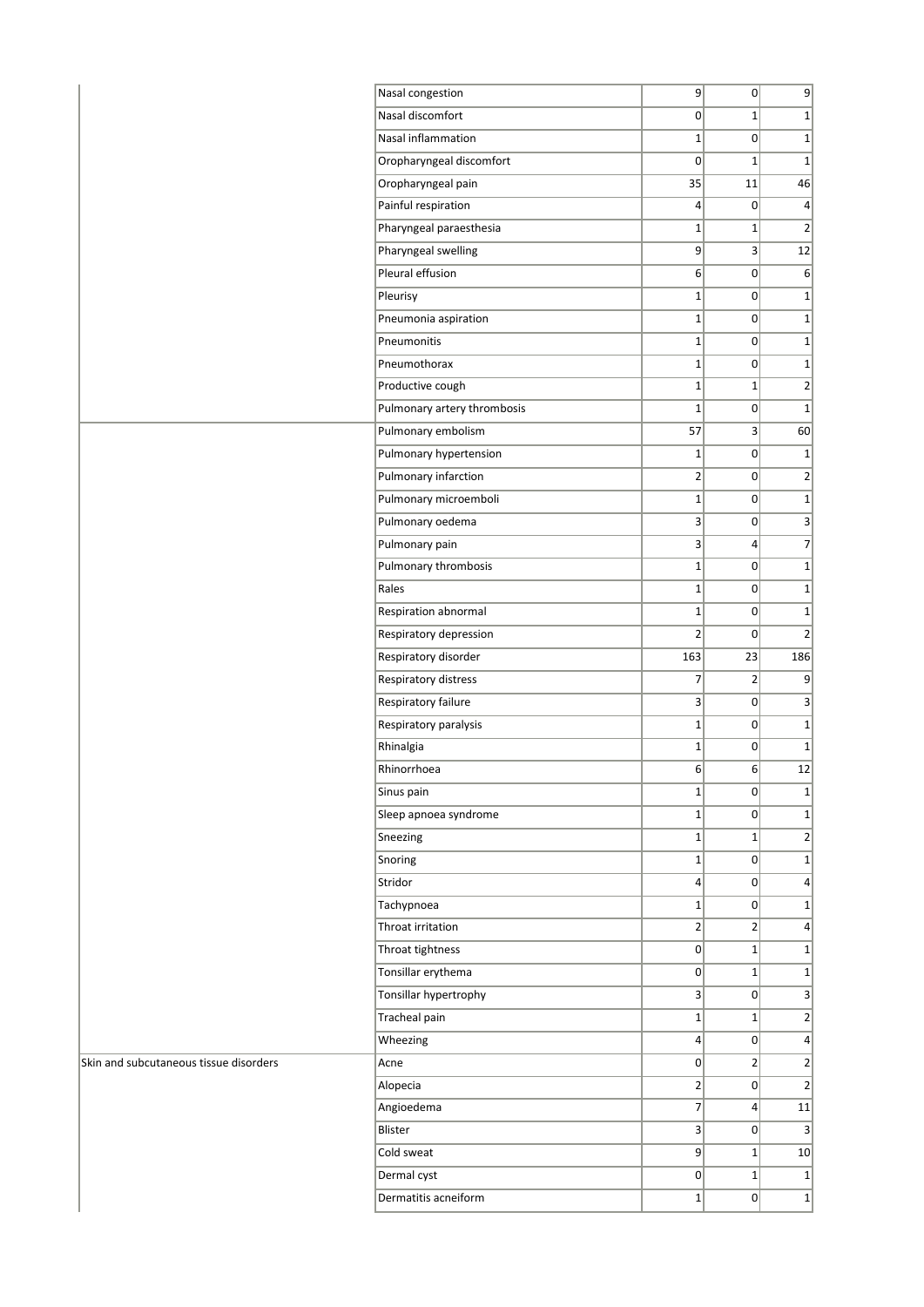|                                        | Nasal congestion            | 9                | 0                | $\overline{9}$  |
|----------------------------------------|-----------------------------|------------------|------------------|-----------------|
|                                        | Nasal discomfort            | 0                | $1\vert$         | $1\overline{ }$ |
|                                        | Nasal inflammation          | $1\vert$         | 0                | $1\overline{ }$ |
|                                        | Oropharyngeal discomfort    | 0                | $1\vert$         | $1\overline{ }$ |
|                                        | Oropharyngeal pain          | 35               | 11               | 46              |
|                                        | Painful respiration         | $\vert$          | 0                | $\vert 4 \vert$ |
|                                        | Pharyngeal paraesthesia     | $1\vert$         | $1\vert$         | $\overline{2}$  |
|                                        | Pharyngeal swelling         | 9                | $\overline{3}$   | 12              |
|                                        | Pleural effusion            | 6                | 0                | 6               |
|                                        | Pleurisy                    | $1\vert$         | 0                | $1\overline{ }$ |
|                                        | Pneumonia aspiration        | $1\vert$         | 0                | $1\overline{ }$ |
|                                        | Pneumonitis                 | $1\vert$         | 0                | $\mathbf{1}$    |
|                                        | Pneumothorax                | $1\vert$         | 0                | $\mathbf{1}$    |
|                                        | Productive cough            | $1\vert$         | $1\vert$         | $\mathbf{2}$    |
|                                        | Pulmonary artery thrombosis | $1\vert$         | 0                | $1\vert$        |
|                                        | Pulmonary embolism          | 57               | 3                | 60              |
|                                        | Pulmonary hypertension      | $1\vert$         | 0                | $1\overline{ }$ |
|                                        | Pulmonary infarction        | $\overline{2}$   | 0                | $\overline{2}$  |
|                                        | Pulmonary microemboli       | $1\vert$         | 0                | $1\vert$        |
|                                        | Pulmonary oedema            | 3 <sup>1</sup>   | 0                | $\mathbf{3}$    |
|                                        | Pulmonary pain              | 3                | $\vert$          | $\overline{7}$  |
|                                        | Pulmonary thrombosis        | $1\vert$         | 0                | $1\overline{ }$ |
|                                        | Rales                       | $1\vert$         | 0                | $1\overline{ }$ |
|                                        | Respiration abnormal        | $1\vert$         | 0                | $1\overline{ }$ |
|                                        | Respiratory depression      | 2                | 0                | $\overline{2}$  |
|                                        | Respiratory disorder        | 163              | 23               | 186             |
|                                        | Respiratory distress        | $\overline{7}$   | 2                | $\overline{9}$  |
|                                        | Respiratory failure         | 3                | 0                | $\overline{3}$  |
|                                        | Respiratory paralysis       | $1\vert$         | 0                | $\mathbf{1}$    |
|                                        | Rhinalgia                   | $1\vert$         | 0                | $1\overline{ }$ |
|                                        | Rhinorrhoea                 | 6 <sup>1</sup>   | 6                | 12              |
|                                        | Sinus pain                  | $1\vert$         | 0                | $\mathbf{1}$    |
|                                        | Sleep apnoea syndrome       | $1\vert$         | $\Omega$         | $1\overline{ }$ |
|                                        | Sneezing                    | $1\vert$         | $\mathbf{1}$     | $\overline{2}$  |
|                                        | Snoring                     | $\mathbf{1}$     | 0                | $1\overline{ }$ |
|                                        | Stridor                     | $\vert 4 \vert$  | 0                | $\vert$         |
|                                        | Tachypnoea                  | $1\vert$         | 0                | $1\overline{ }$ |
|                                        | Throat irritation           | $\overline{2}$   | $\overline{2}$   | $\vert 4 \vert$ |
|                                        | Throat tightness            | 0                | $1\vert$         | $\mathbf{1}$    |
|                                        | Tonsillar erythema          | 0                | $1\vert$         | $1\overline{ }$ |
|                                        | Tonsillar hypertrophy       | $\overline{3}$   | 0                | $\mathbf{3}$    |
|                                        | Tracheal pain               | $1\vert$         | $1\vert$         | $\overline{2}$  |
|                                        | Wheezing                    | $\vert 4 \vert$  | $\overline{0}$   | $\vert 4 \vert$ |
| Skin and subcutaneous tissue disorders | Acne                        | 0                | $\overline{2}$   | $\mathbf{2}$    |
|                                        | Alopecia                    | $\left  \right $ | 0                | $\mathbf{2}$    |
|                                        | Angioedema                  | $\overline{7}$   | $\left 4\right $ | 11              |
|                                        | Blister                     | $\vert 3 \vert$  | 0                | $\overline{3}$  |
|                                        | Cold sweat                  | 9                | $1\vert$         | 10              |
|                                        | Dermal cyst                 | 0                | $1\vert$         | $1\overline{ }$ |
|                                        | Dermatitis acneiform        | $1\vert$         | 0                | $1\vert$        |
|                                        |                             |                  |                  |                 |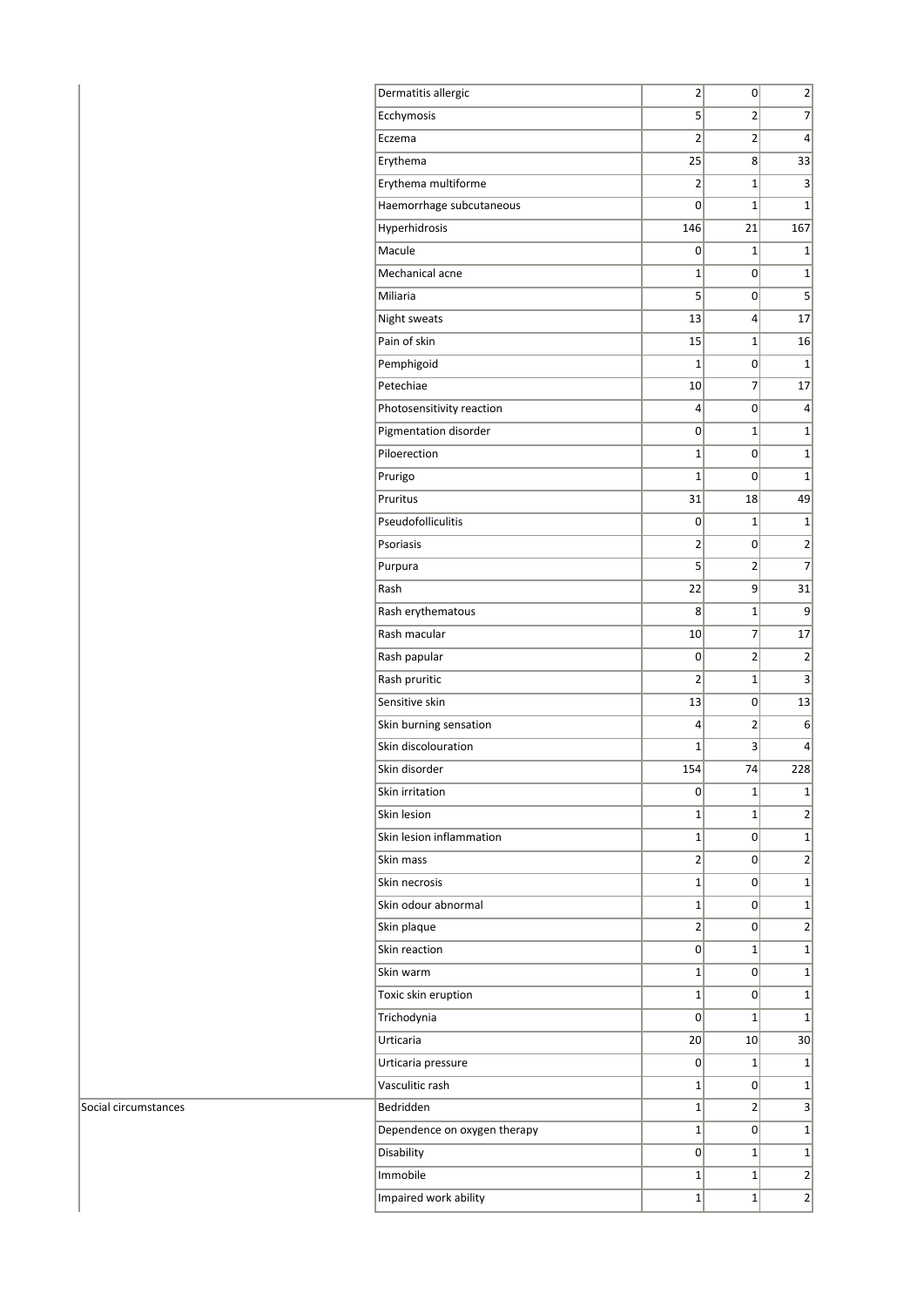| 5<br>7<br>Ecchymosis<br>2<br>Eczema<br>2<br>4<br>2<br>33<br>Erythema<br>25<br>8<br>Erythema multiforme<br>$\overline{2}$<br>1<br>3<br>Haemorrhage subcutaneous<br>$\mathbf{1}$<br>$\mathbf{1}$<br>0<br>146<br>Hyperhidrosis<br>21<br>167<br>Macule<br>0<br>1<br>1<br>Mechanical acne<br>$\mathbf 1$<br>1<br>0<br>Miliaria<br>5<br>5<br>0<br>Night sweats<br>13<br>4<br>17<br>Pain of skin<br>15<br>$\mathbf{1}$<br>16<br>Pemphigoid<br>$\mathbf{1}$<br>0<br>$\mathbf{1}$<br>Petechiae<br>7<br>17<br>10<br>Photosensitivity reaction<br>4<br>0<br>4<br>Pigmentation disorder<br>0<br>$\mathbf{1}$<br>$\mathbf{1}$<br>Piloerection<br>1<br>$\mathbf{1}$<br>0<br>$\overline{1}$<br>$\overline{1}$<br>Prurigo<br>0<br>Pruritus<br>49<br>31<br>18<br>Pseudofolliculitis<br>0<br>1<br>$\mathbf{1}$<br>$\overline{2}$<br>Psoriasis<br>2<br>0<br>5<br>7<br>Purpura<br>2<br>Rash<br>22<br>9<br>31<br>Rash erythematous<br>8<br>1<br>9<br>Rash macular<br>7<br>17<br>10<br>$\overline{2}$<br>Rash papular<br>0<br>$\overline{2}$<br>Rash pruritic<br>$\overline{c}$<br>3<br>1<br>Sensitive skin<br>13<br>13<br>0<br>Skin burning sensation<br>4<br>2<br>6<br>Skin discolouration<br>$\mathbf{1}$<br>3<br>4<br>Skin disorder<br>154<br>74<br>228<br>Skin irritation<br>1<br>$1\vert$<br>0<br>Skin lesion<br>$\overline{2}$<br>1<br>$\mathbf{1}$<br>Skin lesion inflammation<br>1<br>0<br>$1\vert$<br>$\overline{2}$<br>$\overline{2}$<br>Skin mass<br>0<br>Skin necrosis<br>$\mathbf{1}$<br>0<br>$\mathbf{1}$<br>Skin odour abnormal<br>$\mathbf{1}$<br>$\mathbf 1$<br>0<br>$\overline{2}$<br>Skin plaque<br>2<br>0<br>Skin reaction<br>0<br>$\mathbf{1}$<br>$\mathbf{1}$<br>Skin warm<br>1<br>$\mathbf{1}$<br>0<br>Toxic skin eruption<br>$\mathbf{1}$<br>$\mathbf{1}$<br>0<br>$\mathbf{1}$<br>Trichodynia<br>0<br>1<br>Urticaria<br>20<br>10<br>30 <sup>2</sup><br>Urticaria pressure<br>0<br>$\mathbf{1}$<br>$\mathbf{1}$<br>Vasculitic rash<br>$\mathbf{1}$<br>$\mathbf{1}$<br>0<br>Bedridden<br>3<br>1<br>2<br>$1\vert$<br>Dependence on oxygen therapy<br>$\mathbf{1}$<br>0<br>Disability<br>0<br>1<br>$\mathbf{1}$<br>Immobile<br>$\overline{2}$<br>$\mathbf{1}$<br>$\mathbf{1}$<br>$\overline{2}$<br>Impaired work ability<br>$\mathbf{1}$<br>$\mathbf{1}$ | Dermatitis allergic | 2 | 0 | 2 |
|---------------------------------------------------------------------------------------------------------------------------------------------------------------------------------------------------------------------------------------------------------------------------------------------------------------------------------------------------------------------------------------------------------------------------------------------------------------------------------------------------------------------------------------------------------------------------------------------------------------------------------------------------------------------------------------------------------------------------------------------------------------------------------------------------------------------------------------------------------------------------------------------------------------------------------------------------------------------------------------------------------------------------------------------------------------------------------------------------------------------------------------------------------------------------------------------------------------------------------------------------------------------------------------------------------------------------------------------------------------------------------------------------------------------------------------------------------------------------------------------------------------------------------------------------------------------------------------------------------------------------------------------------------------------------------------------------------------------------------------------------------------------------------------------------------------------------------------------------------------------------------------------------------------------------------------------------------------------------------------------------------------------------------------------------------------------------------------------------------------------------------------------------------------------------------------------------------------------------------------------------------|---------------------|---|---|---|
|                                                                                                                                                                                                                                                                                                                                                                                                                                                                                                                                                                                                                                                                                                                                                                                                                                                                                                                                                                                                                                                                                                                                                                                                                                                                                                                                                                                                                                                                                                                                                                                                                                                                                                                                                                                                                                                                                                                                                                                                                                                                                                                                                                                                                                                         |                     |   |   |   |
|                                                                                                                                                                                                                                                                                                                                                                                                                                                                                                                                                                                                                                                                                                                                                                                                                                                                                                                                                                                                                                                                                                                                                                                                                                                                                                                                                                                                                                                                                                                                                                                                                                                                                                                                                                                                                                                                                                                                                                                                                                                                                                                                                                                                                                                         |                     |   |   |   |
|                                                                                                                                                                                                                                                                                                                                                                                                                                                                                                                                                                                                                                                                                                                                                                                                                                                                                                                                                                                                                                                                                                                                                                                                                                                                                                                                                                                                                                                                                                                                                                                                                                                                                                                                                                                                                                                                                                                                                                                                                                                                                                                                                                                                                                                         |                     |   |   |   |
|                                                                                                                                                                                                                                                                                                                                                                                                                                                                                                                                                                                                                                                                                                                                                                                                                                                                                                                                                                                                                                                                                                                                                                                                                                                                                                                                                                                                                                                                                                                                                                                                                                                                                                                                                                                                                                                                                                                                                                                                                                                                                                                                                                                                                                                         |                     |   |   |   |
|                                                                                                                                                                                                                                                                                                                                                                                                                                                                                                                                                                                                                                                                                                                                                                                                                                                                                                                                                                                                                                                                                                                                                                                                                                                                                                                                                                                                                                                                                                                                                                                                                                                                                                                                                                                                                                                                                                                                                                                                                                                                                                                                                                                                                                                         |                     |   |   |   |
|                                                                                                                                                                                                                                                                                                                                                                                                                                                                                                                                                                                                                                                                                                                                                                                                                                                                                                                                                                                                                                                                                                                                                                                                                                                                                                                                                                                                                                                                                                                                                                                                                                                                                                                                                                                                                                                                                                                                                                                                                                                                                                                                                                                                                                                         |                     |   |   |   |
|                                                                                                                                                                                                                                                                                                                                                                                                                                                                                                                                                                                                                                                                                                                                                                                                                                                                                                                                                                                                                                                                                                                                                                                                                                                                                                                                                                                                                                                                                                                                                                                                                                                                                                                                                                                                                                                                                                                                                                                                                                                                                                                                                                                                                                                         |                     |   |   |   |
|                                                                                                                                                                                                                                                                                                                                                                                                                                                                                                                                                                                                                                                                                                                                                                                                                                                                                                                                                                                                                                                                                                                                                                                                                                                                                                                                                                                                                                                                                                                                                                                                                                                                                                                                                                                                                                                                                                                                                                                                                                                                                                                                                                                                                                                         |                     |   |   |   |
|                                                                                                                                                                                                                                                                                                                                                                                                                                                                                                                                                                                                                                                                                                                                                                                                                                                                                                                                                                                                                                                                                                                                                                                                                                                                                                                                                                                                                                                                                                                                                                                                                                                                                                                                                                                                                                                                                                                                                                                                                                                                                                                                                                                                                                                         |                     |   |   |   |
|                                                                                                                                                                                                                                                                                                                                                                                                                                                                                                                                                                                                                                                                                                                                                                                                                                                                                                                                                                                                                                                                                                                                                                                                                                                                                                                                                                                                                                                                                                                                                                                                                                                                                                                                                                                                                                                                                                                                                                                                                                                                                                                                                                                                                                                         |                     |   |   |   |
|                                                                                                                                                                                                                                                                                                                                                                                                                                                                                                                                                                                                                                                                                                                                                                                                                                                                                                                                                                                                                                                                                                                                                                                                                                                                                                                                                                                                                                                                                                                                                                                                                                                                                                                                                                                                                                                                                                                                                                                                                                                                                                                                                                                                                                                         |                     |   |   |   |
|                                                                                                                                                                                                                                                                                                                                                                                                                                                                                                                                                                                                                                                                                                                                                                                                                                                                                                                                                                                                                                                                                                                                                                                                                                                                                                                                                                                                                                                                                                                                                                                                                                                                                                                                                                                                                                                                                                                                                                                                                                                                                                                                                                                                                                                         |                     |   |   |   |
|                                                                                                                                                                                                                                                                                                                                                                                                                                                                                                                                                                                                                                                                                                                                                                                                                                                                                                                                                                                                                                                                                                                                                                                                                                                                                                                                                                                                                                                                                                                                                                                                                                                                                                                                                                                                                                                                                                                                                                                                                                                                                                                                                                                                                                                         |                     |   |   |   |
|                                                                                                                                                                                                                                                                                                                                                                                                                                                                                                                                                                                                                                                                                                                                                                                                                                                                                                                                                                                                                                                                                                                                                                                                                                                                                                                                                                                                                                                                                                                                                                                                                                                                                                                                                                                                                                                                                                                                                                                                                                                                                                                                                                                                                                                         |                     |   |   |   |
|                                                                                                                                                                                                                                                                                                                                                                                                                                                                                                                                                                                                                                                                                                                                                                                                                                                                                                                                                                                                                                                                                                                                                                                                                                                                                                                                                                                                                                                                                                                                                                                                                                                                                                                                                                                                                                                                                                                                                                                                                                                                                                                                                                                                                                                         |                     |   |   |   |
|                                                                                                                                                                                                                                                                                                                                                                                                                                                                                                                                                                                                                                                                                                                                                                                                                                                                                                                                                                                                                                                                                                                                                                                                                                                                                                                                                                                                                                                                                                                                                                                                                                                                                                                                                                                                                                                                                                                                                                                                                                                                                                                                                                                                                                                         |                     |   |   |   |
|                                                                                                                                                                                                                                                                                                                                                                                                                                                                                                                                                                                                                                                                                                                                                                                                                                                                                                                                                                                                                                                                                                                                                                                                                                                                                                                                                                                                                                                                                                                                                                                                                                                                                                                                                                                                                                                                                                                                                                                                                                                                                                                                                                                                                                                         |                     |   |   |   |
|                                                                                                                                                                                                                                                                                                                                                                                                                                                                                                                                                                                                                                                                                                                                                                                                                                                                                                                                                                                                                                                                                                                                                                                                                                                                                                                                                                                                                                                                                                                                                                                                                                                                                                                                                                                                                                                                                                                                                                                                                                                                                                                                                                                                                                                         |                     |   |   |   |
|                                                                                                                                                                                                                                                                                                                                                                                                                                                                                                                                                                                                                                                                                                                                                                                                                                                                                                                                                                                                                                                                                                                                                                                                                                                                                                                                                                                                                                                                                                                                                                                                                                                                                                                                                                                                                                                                                                                                                                                                                                                                                                                                                                                                                                                         |                     |   |   |   |
|                                                                                                                                                                                                                                                                                                                                                                                                                                                                                                                                                                                                                                                                                                                                                                                                                                                                                                                                                                                                                                                                                                                                                                                                                                                                                                                                                                                                                                                                                                                                                                                                                                                                                                                                                                                                                                                                                                                                                                                                                                                                                                                                                                                                                                                         |                     |   |   |   |
|                                                                                                                                                                                                                                                                                                                                                                                                                                                                                                                                                                                                                                                                                                                                                                                                                                                                                                                                                                                                                                                                                                                                                                                                                                                                                                                                                                                                                                                                                                                                                                                                                                                                                                                                                                                                                                                                                                                                                                                                                                                                                                                                                                                                                                                         |                     |   |   |   |
|                                                                                                                                                                                                                                                                                                                                                                                                                                                                                                                                                                                                                                                                                                                                                                                                                                                                                                                                                                                                                                                                                                                                                                                                                                                                                                                                                                                                                                                                                                                                                                                                                                                                                                                                                                                                                                                                                                                                                                                                                                                                                                                                                                                                                                                         |                     |   |   |   |
|                                                                                                                                                                                                                                                                                                                                                                                                                                                                                                                                                                                                                                                                                                                                                                                                                                                                                                                                                                                                                                                                                                                                                                                                                                                                                                                                                                                                                                                                                                                                                                                                                                                                                                                                                                                                                                                                                                                                                                                                                                                                                                                                                                                                                                                         |                     |   |   |   |
|                                                                                                                                                                                                                                                                                                                                                                                                                                                                                                                                                                                                                                                                                                                                                                                                                                                                                                                                                                                                                                                                                                                                                                                                                                                                                                                                                                                                                                                                                                                                                                                                                                                                                                                                                                                                                                                                                                                                                                                                                                                                                                                                                                                                                                                         |                     |   |   |   |
|                                                                                                                                                                                                                                                                                                                                                                                                                                                                                                                                                                                                                                                                                                                                                                                                                                                                                                                                                                                                                                                                                                                                                                                                                                                                                                                                                                                                                                                                                                                                                                                                                                                                                                                                                                                                                                                                                                                                                                                                                                                                                                                                                                                                                                                         |                     |   |   |   |
|                                                                                                                                                                                                                                                                                                                                                                                                                                                                                                                                                                                                                                                                                                                                                                                                                                                                                                                                                                                                                                                                                                                                                                                                                                                                                                                                                                                                                                                                                                                                                                                                                                                                                                                                                                                                                                                                                                                                                                                                                                                                                                                                                                                                                                                         |                     |   |   |   |
|                                                                                                                                                                                                                                                                                                                                                                                                                                                                                                                                                                                                                                                                                                                                                                                                                                                                                                                                                                                                                                                                                                                                                                                                                                                                                                                                                                                                                                                                                                                                                                                                                                                                                                                                                                                                                                                                                                                                                                                                                                                                                                                                                                                                                                                         |                     |   |   |   |
|                                                                                                                                                                                                                                                                                                                                                                                                                                                                                                                                                                                                                                                                                                                                                                                                                                                                                                                                                                                                                                                                                                                                                                                                                                                                                                                                                                                                                                                                                                                                                                                                                                                                                                                                                                                                                                                                                                                                                                                                                                                                                                                                                                                                                                                         |                     |   |   |   |
|                                                                                                                                                                                                                                                                                                                                                                                                                                                                                                                                                                                                                                                                                                                                                                                                                                                                                                                                                                                                                                                                                                                                                                                                                                                                                                                                                                                                                                                                                                                                                                                                                                                                                                                                                                                                                                                                                                                                                                                                                                                                                                                                                                                                                                                         |                     |   |   |   |
|                                                                                                                                                                                                                                                                                                                                                                                                                                                                                                                                                                                                                                                                                                                                                                                                                                                                                                                                                                                                                                                                                                                                                                                                                                                                                                                                                                                                                                                                                                                                                                                                                                                                                                                                                                                                                                                                                                                                                                                                                                                                                                                                                                                                                                                         |                     |   |   |   |
|                                                                                                                                                                                                                                                                                                                                                                                                                                                                                                                                                                                                                                                                                                                                                                                                                                                                                                                                                                                                                                                                                                                                                                                                                                                                                                                                                                                                                                                                                                                                                                                                                                                                                                                                                                                                                                                                                                                                                                                                                                                                                                                                                                                                                                                         |                     |   |   |   |
|                                                                                                                                                                                                                                                                                                                                                                                                                                                                                                                                                                                                                                                                                                                                                                                                                                                                                                                                                                                                                                                                                                                                                                                                                                                                                                                                                                                                                                                                                                                                                                                                                                                                                                                                                                                                                                                                                                                                                                                                                                                                                                                                                                                                                                                         |                     |   |   |   |
|                                                                                                                                                                                                                                                                                                                                                                                                                                                                                                                                                                                                                                                                                                                                                                                                                                                                                                                                                                                                                                                                                                                                                                                                                                                                                                                                                                                                                                                                                                                                                                                                                                                                                                                                                                                                                                                                                                                                                                                                                                                                                                                                                                                                                                                         |                     |   |   |   |
|                                                                                                                                                                                                                                                                                                                                                                                                                                                                                                                                                                                                                                                                                                                                                                                                                                                                                                                                                                                                                                                                                                                                                                                                                                                                                                                                                                                                                                                                                                                                                                                                                                                                                                                                                                                                                                                                                                                                                                                                                                                                                                                                                                                                                                                         |                     |   |   |   |
|                                                                                                                                                                                                                                                                                                                                                                                                                                                                                                                                                                                                                                                                                                                                                                                                                                                                                                                                                                                                                                                                                                                                                                                                                                                                                                                                                                                                                                                                                                                                                                                                                                                                                                                                                                                                                                                                                                                                                                                                                                                                                                                                                                                                                                                         |                     |   |   |   |
|                                                                                                                                                                                                                                                                                                                                                                                                                                                                                                                                                                                                                                                                                                                                                                                                                                                                                                                                                                                                                                                                                                                                                                                                                                                                                                                                                                                                                                                                                                                                                                                                                                                                                                                                                                                                                                                                                                                                                                                                                                                                                                                                                                                                                                                         |                     |   |   |   |
|                                                                                                                                                                                                                                                                                                                                                                                                                                                                                                                                                                                                                                                                                                                                                                                                                                                                                                                                                                                                                                                                                                                                                                                                                                                                                                                                                                                                                                                                                                                                                                                                                                                                                                                                                                                                                                                                                                                                                                                                                                                                                                                                                                                                                                                         |                     |   |   |   |
|                                                                                                                                                                                                                                                                                                                                                                                                                                                                                                                                                                                                                                                                                                                                                                                                                                                                                                                                                                                                                                                                                                                                                                                                                                                                                                                                                                                                                                                                                                                                                                                                                                                                                                                                                                                                                                                                                                                                                                                                                                                                                                                                                                                                                                                         |                     |   |   |   |
|                                                                                                                                                                                                                                                                                                                                                                                                                                                                                                                                                                                                                                                                                                                                                                                                                                                                                                                                                                                                                                                                                                                                                                                                                                                                                                                                                                                                                                                                                                                                                                                                                                                                                                                                                                                                                                                                                                                                                                                                                                                                                                                                                                                                                                                         |                     |   |   |   |
|                                                                                                                                                                                                                                                                                                                                                                                                                                                                                                                                                                                                                                                                                                                                                                                                                                                                                                                                                                                                                                                                                                                                                                                                                                                                                                                                                                                                                                                                                                                                                                                                                                                                                                                                                                                                                                                                                                                                                                                                                                                                                                                                                                                                                                                         |                     |   |   |   |
|                                                                                                                                                                                                                                                                                                                                                                                                                                                                                                                                                                                                                                                                                                                                                                                                                                                                                                                                                                                                                                                                                                                                                                                                                                                                                                                                                                                                                                                                                                                                                                                                                                                                                                                                                                                                                                                                                                                                                                                                                                                                                                                                                                                                                                                         |                     |   |   |   |
|                                                                                                                                                                                                                                                                                                                                                                                                                                                                                                                                                                                                                                                                                                                                                                                                                                                                                                                                                                                                                                                                                                                                                                                                                                                                                                                                                                                                                                                                                                                                                                                                                                                                                                                                                                                                                                                                                                                                                                                                                                                                                                                                                                                                                                                         |                     |   |   |   |
|                                                                                                                                                                                                                                                                                                                                                                                                                                                                                                                                                                                                                                                                                                                                                                                                                                                                                                                                                                                                                                                                                                                                                                                                                                                                                                                                                                                                                                                                                                                                                                                                                                                                                                                                                                                                                                                                                                                                                                                                                                                                                                                                                                                                                                                         |                     |   |   |   |
|                                                                                                                                                                                                                                                                                                                                                                                                                                                                                                                                                                                                                                                                                                                                                                                                                                                                                                                                                                                                                                                                                                                                                                                                                                                                                                                                                                                                                                                                                                                                                                                                                                                                                                                                                                                                                                                                                                                                                                                                                                                                                                                                                                                                                                                         |                     |   |   |   |
|                                                                                                                                                                                                                                                                                                                                                                                                                                                                                                                                                                                                                                                                                                                                                                                                                                                                                                                                                                                                                                                                                                                                                                                                                                                                                                                                                                                                                                                                                                                                                                                                                                                                                                                                                                                                                                                                                                                                                                                                                                                                                                                                                                                                                                                         |                     |   |   |   |
|                                                                                                                                                                                                                                                                                                                                                                                                                                                                                                                                                                                                                                                                                                                                                                                                                                                                                                                                                                                                                                                                                                                                                                                                                                                                                                                                                                                                                                                                                                                                                                                                                                                                                                                                                                                                                                                                                                                                                                                                                                                                                                                                                                                                                                                         |                     |   |   |   |
|                                                                                                                                                                                                                                                                                                                                                                                                                                                                                                                                                                                                                                                                                                                                                                                                                                                                                                                                                                                                                                                                                                                                                                                                                                                                                                                                                                                                                                                                                                                                                                                                                                                                                                                                                                                                                                                                                                                                                                                                                                                                                                                                                                                                                                                         |                     |   |   |   |
|                                                                                                                                                                                                                                                                                                                                                                                                                                                                                                                                                                                                                                                                                                                                                                                                                                                                                                                                                                                                                                                                                                                                                                                                                                                                                                                                                                                                                                                                                                                                                                                                                                                                                                                                                                                                                                                                                                                                                                                                                                                                                                                                                                                                                                                         |                     |   |   |   |
|                                                                                                                                                                                                                                                                                                                                                                                                                                                                                                                                                                                                                                                                                                                                                                                                                                                                                                                                                                                                                                                                                                                                                                                                                                                                                                                                                                                                                                                                                                                                                                                                                                                                                                                                                                                                                                                                                                                                                                                                                                                                                                                                                                                                                                                         |                     |   |   |   |

Social circumstances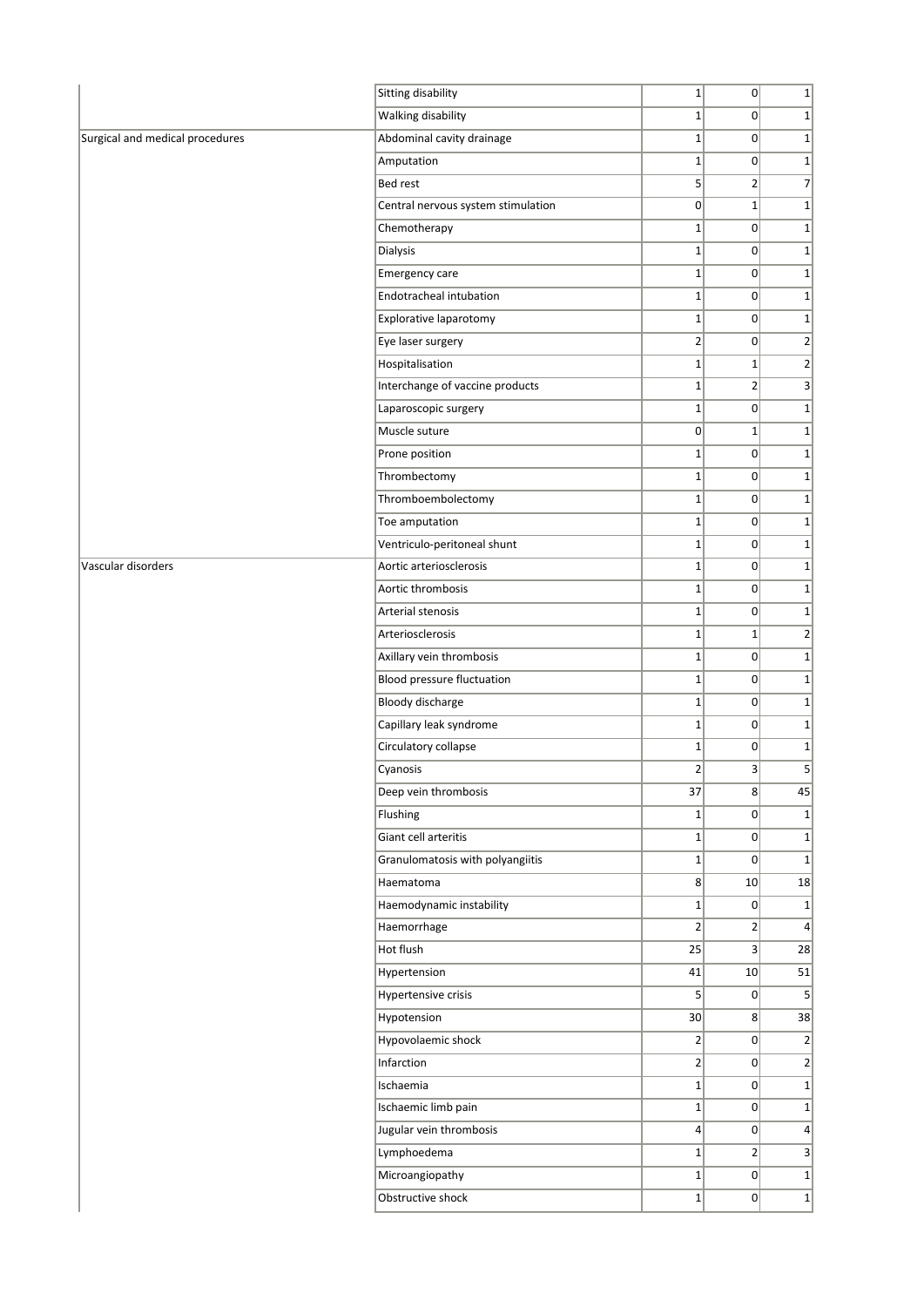|                                 | <b>Sitting disability</b>          | $1\vert$        | 0                       | $1\vert$        |
|---------------------------------|------------------------------------|-----------------|-------------------------|-----------------|
|                                 | <b>Walking disability</b>          | $\mathbf 1$     | 0                       | $1\vert$        |
| Surgical and medical procedures | Abdominal cavity drainage          | $\mathbf 1$     | 0                       | $1\vert$        |
|                                 | Amputation                         | $1\vert$        | 0                       | $1\vert$        |
|                                 | <b>Bed rest</b>                    | 5               | $\overline{2}$          | $\overline{7}$  |
|                                 | Central nervous system stimulation | 0               | $1\vert$                | $1\vert$        |
|                                 | Chemotherapy                       | $\mathbf 1$     | 0                       | $1\vert$        |
|                                 | Dialysis                           | $\mathbf 1$     | 0                       | $1\vert$        |
|                                 | Emergency care                     | $\mathbf 1$     | 0                       | $1\vert$        |
|                                 | Endotracheal intubation            | $\mathbf 1$     | 0                       | $1\vert$        |
|                                 | Explorative laparotomy             | $1\vert$        | 0                       | $1\vert$        |
|                                 | Eye laser surgery                  | $\overline{2}$  | 0                       | $\mathbf{2}$    |
|                                 | Hospitalisation                    | $1\vert$        | $1\vert$                | $\overline{2}$  |
|                                 | Interchange of vaccine products    | $1\vert$        | $\overline{2}$          | 3               |
|                                 | Laparoscopic surgery               | $\mathbf 1$     | 0                       | $1\vert$        |
|                                 | Muscle suture                      | 0               | $1\vert$                | $1\vert$        |
|                                 | Prone position                     | $1\vert$        | $\overline{0}$          | $1\vert$        |
|                                 | Thrombectomy                       | $\mathbf 1$     | 0                       | $1\vert$        |
|                                 | Thromboembolectomy                 | $1\vert$        | 0                       | $1\vert$        |
|                                 | Toe amputation                     | $1\vert$        | 0                       | $1\vert$        |
|                                 | Ventriculo-peritoneal shunt        | $\mathbf 1$     | 0                       | $1\vert$        |
| Vascular disorders              | Aortic arteriosclerosis            | $\mathbf 1$     | 0                       | $1\vert$        |
|                                 | Aortic thrombosis                  | $1\vert$        | 0                       | $1\vert$        |
|                                 | Arterial stenosis                  | $\mathbf 1$     | $\overline{0}$          | $1\vert$        |
|                                 | Arteriosclerosis                   | $1\vert$        | 1                       | $\overline{2}$  |
|                                 | Axillary vein thrombosis           | $1\vert$        | 0                       | $1\vert$        |
|                                 | <b>Blood pressure fluctuation</b>  | $\mathbf 1$     | 0                       | $1\vert$        |
|                                 | <b>Bloody discharge</b>            | $\mathbf 1$     | 0                       | $1\vert$        |
|                                 | Capillary leak syndrome            | $\mathbf 1$     | 0                       | $1\vert$        |
|                                 | Circulatory collapse               | $1\vert$        | $\overline{0}$          | $1\vert$        |
|                                 | Cyanosis                           | $\overline{2}$  | $\overline{3}$          | 5 <sup>1</sup>  |
|                                 | Deep vein thrombosis               | 37              | $\vert 8 \vert$         | 45              |
|                                 | Flushing                           | $1\vert$        | $\overline{0}$          | $1\vert$        |
|                                 | Giant cell arteritis               | $\mathbf 1$     | 0                       | $1\vert$        |
|                                 | Granulomatosis with polyangiitis   | $1\vert$        | 0                       | $1\vert$        |
|                                 | Haematoma                          | 8 <sup>2</sup>  | 10                      | 18              |
|                                 | Haemodynamic instability           | $1\vert$        | 0                       | $1\vert$        |
|                                 | Haemorrhage                        | $\overline{2}$  | $\overline{2}$          | $\vert 4 \vert$ |
|                                 | Hot flush                          | 25              | $\overline{\mathbf{3}}$ | 28              |
|                                 | Hypertension                       | 41              | 10                      | 51              |
|                                 | Hypertensive crisis                | 5 <sup>2</sup>  | $\overline{0}$          | $\mathsf{S}$    |
|                                 | Hypotension                        | 30              | 8 <sup>°</sup>          | 38              |
|                                 | Hypovolaemic shock                 | $\overline{2}$  | 0                       | $\overline{2}$  |
|                                 | Infarction                         | $\overline{2}$  | 0                       | $\overline{2}$  |
|                                 | Ischaemia                          | $1\vert$        | 0                       | $1\vert$        |
|                                 | Ischaemic limb pain                | $\mathbf 1$     | 0                       | $1\vert$        |
|                                 | Jugular vein thrombosis            | $\vert 4 \vert$ | 0                       | $\vert 4 \vert$ |
|                                 | Lymphoedema                        | $1\vert$        | $\overline{2}$          | 3               |
|                                 | Microangiopathy                    | $1\vert$        | 0                       | $1\vert$        |
|                                 | Obstructive shock                  | $1\vert$        | 0                       | $1\vert$        |